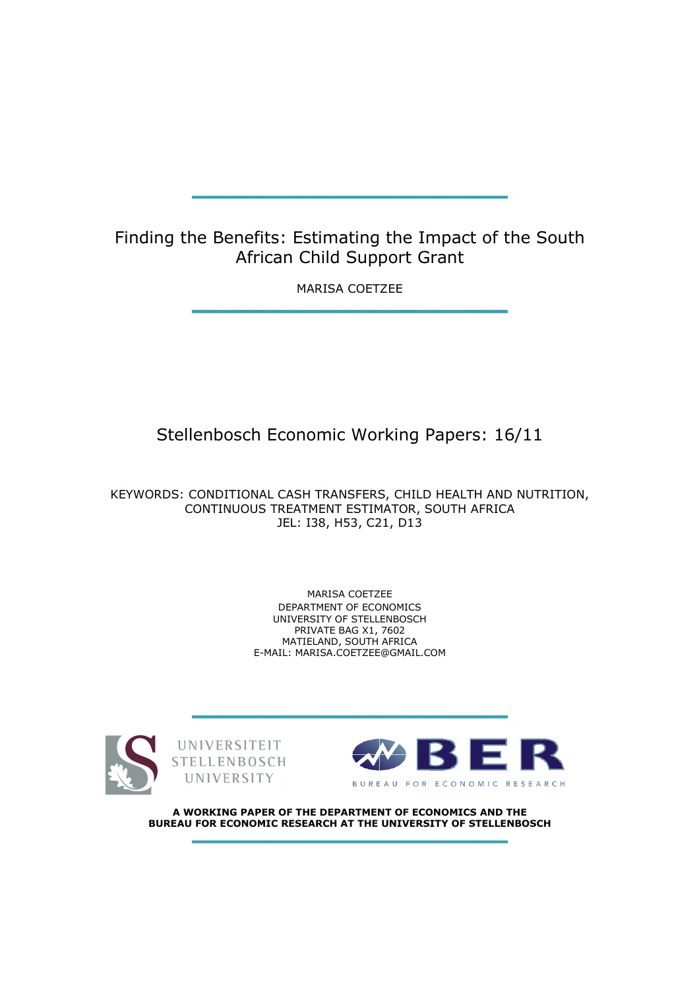# Finding the Benefits: Estimating the Impact of the South African Child Support Grant

MARISA COETZEE

# Stellenbosch Economic Working Papers: 16/11

KEYWORDS: CONDITIONAL CASH TRANSFERS, CHILD HEALTH AND NUTRITION, CONTINUOUS TREATMENT ESTIMATOR, SOUTH AFRICA JEL: I38, H53, C21, D13

> MARISA COETZEE DEPARTMENT OF ECONOMICS UNIVERSITY OF STELLENBOSCH PRIVATE BAG X1, 7602 MATIELAND, SOUTH AFRICA E-MAIL: MARISA.COETZEE@GMAIL.COM







A WORKING PAPER OF THE DEPARTMENT OF ECONOMICS AND THE BUREAU FOR ECONOMIC RESEARCH AT THE UNIVERSITY OF STELLENBOSCH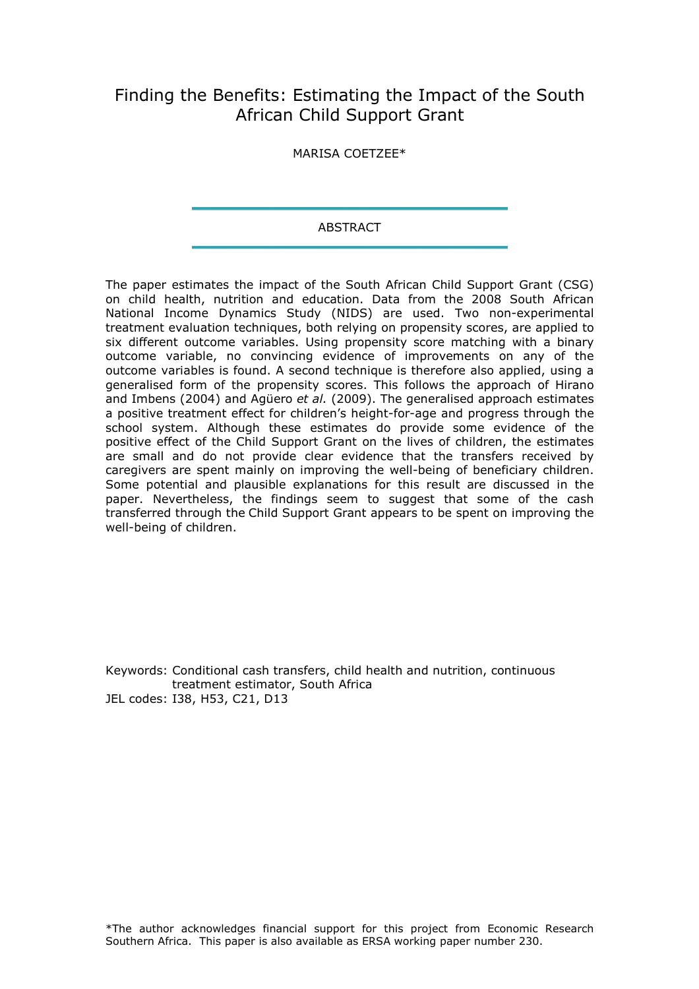# Finding the Benefits: Estimating the Impact of the South African Child Support Grant

MARISA COETZEE\*

#### **ABSTRACT**

The paper estimates the impact of the South African Child Support Grant (CSG) on child health, nutrition and education. Data from the 2008 South African National Income Dynamics Study (NIDS) are used. Two non-experimental treatment evaluation techniques, both relying on propensity scores, are applied to six different outcome variables. Using propensity score matching with a binary outcome variable, no convincing evidence of improvements on any of the outcome variables is found. A second technique is therefore also applied, using a generalised form of the propensity scores. This follows the approach of Hirano and Imbens (2004) and Agüero et al. (2009). The generalised approach estimates a positive treatment effect for children's height-for-age and progress through the school system. Although these estimates do provide some evidence of the positive effect of the Child Support Grant on the lives of children, the estimates are small and do not provide clear evidence that the transfers received by caregivers are spent mainly on improving the well-being of beneficiary children. Some potential and plausible explanations for this result are discussed in the paper. Nevertheless, the findings seem to suggest that some of the cash transferred through the Child Support Grant appears to be spent on improving the well-being of children.

Keywords: Conditional cash transfers, child health and nutrition, continuous treatment estimator, South Africa JEL codes: I38, H53, C21, D13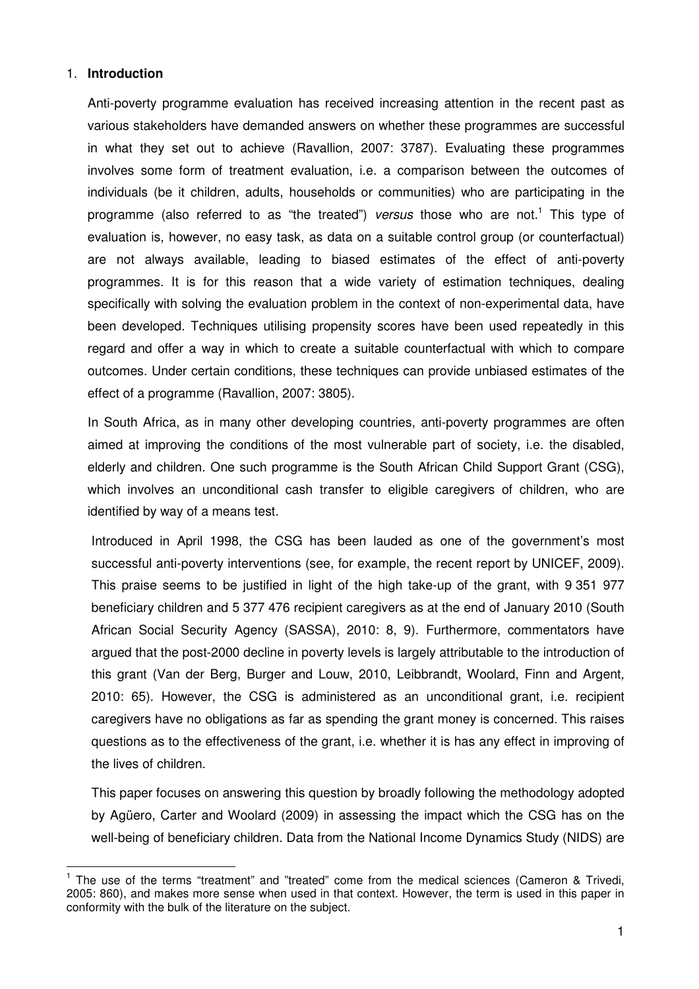### 1. **Introduction**

 $\overline{a}$ 

Anti-poverty programme evaluation has received increasing attention in the recent past as various stakeholders have demanded answers on whether these programmes are successful in what they set out to achieve (Ravallion, 2007: 3787). Evaluating these programmes involves some form of treatment evaluation, i.e. a comparison between the outcomes of individuals (be it children, adults, households or communities) who are participating in the programme (also referred to as "the treated") versus those who are not.<sup>1</sup> This type of evaluation is, however, no easy task, as data on a suitable control group (or counterfactual) are not always available, leading to biased estimates of the effect of anti-poverty programmes. It is for this reason that a wide variety of estimation techniques, dealing specifically with solving the evaluation problem in the context of non-experimental data, have been developed. Techniques utilising propensity scores have been used repeatedly in this regard and offer a way in which to create a suitable counterfactual with which to compare outcomes. Under certain conditions, these techniques can provide unbiased estimates of the effect of a programme (Ravallion, 2007: 3805).

In South Africa, as in many other developing countries, anti-poverty programmes are often aimed at improving the conditions of the most vulnerable part of society, i.e. the disabled, elderly and children. One such programme is the South African Child Support Grant (CSG), which involves an unconditional cash transfer to eligible caregivers of children, who are identified by way of a means test.

Introduced in April 1998, the CSG has been lauded as one of the government's most successful anti-poverty interventions (see, for example, the recent report by UNICEF, 2009). This praise seems to be justified in light of the high take-up of the grant, with 9 351 977 beneficiary children and 5 377 476 recipient caregivers as at the end of January 2010 (South African Social Security Agency (SASSA), 2010: 8, 9). Furthermore, commentators have argued that the post-2000 decline in poverty levels is largely attributable to the introduction of this grant (Van der Berg, Burger and Louw, 2010, Leibbrandt, Woolard, Finn and Argent, 2010: 65). However, the CSG is administered as an unconditional grant, i.e. recipient caregivers have no obligations as far as spending the grant money is concerned. This raises questions as to the effectiveness of the grant, i.e. whether it is has any effect in improving of the lives of children.

This paper focuses on answering this question by broadly following the methodology adopted by Agüero, Carter and Woolard (2009) in assessing the impact which the CSG has on the well-being of beneficiary children. Data from the National Income Dynamics Study (NIDS) are

<sup>&</sup>lt;sup>1</sup> The use of the terms "treatment" and "treated" come from the medical sciences (Cameron & Trivedi, 2005: 860), and makes more sense when used in that context. However, the term is used in this paper in conformity with the bulk of the literature on the subject.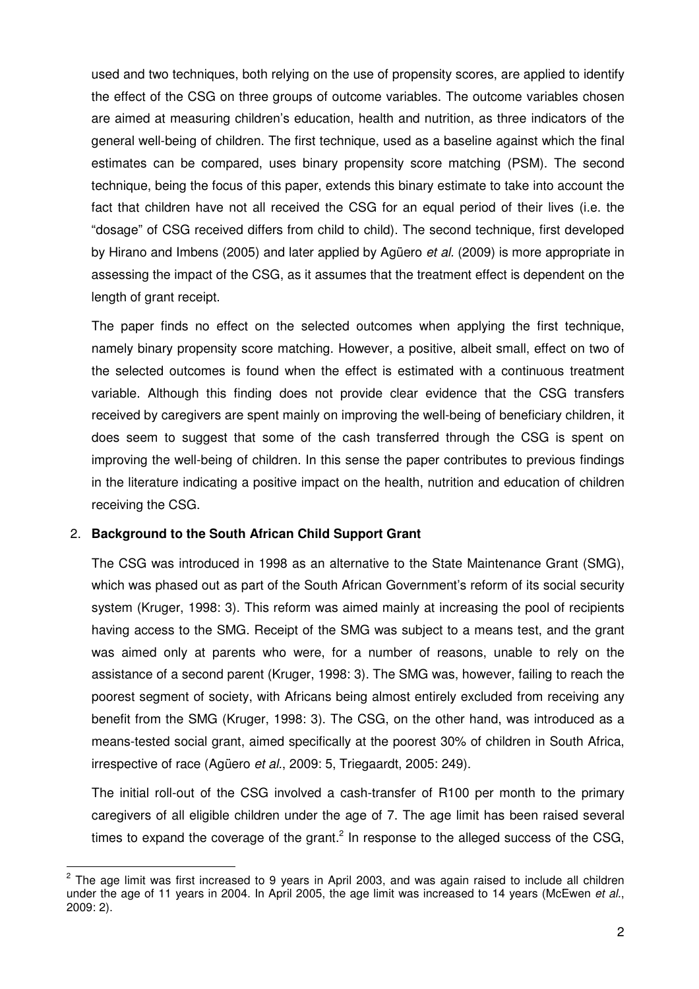used and two techniques, both relying on the use of propensity scores, are applied to identify the effect of the CSG on three groups of outcome variables. The outcome variables chosen are aimed at measuring children's education, health and nutrition, as three indicators of the general well-being of children. The first technique, used as a baseline against which the final estimates can be compared, uses binary propensity score matching (PSM). The second technique, being the focus of this paper, extends this binary estimate to take into account the fact that children have not all received the CSG for an equal period of their lives (i.e. the "dosage" of CSG received differs from child to child). The second technique, first developed by Hirano and Imbens (2005) and later applied by Agüero *et al.* (2009) is more appropriate in assessing the impact of the CSG, as it assumes that the treatment effect is dependent on the length of grant receipt.

The paper finds no effect on the selected outcomes when applying the first technique, namely binary propensity score matching. However, a positive, albeit small, effect on two of the selected outcomes is found when the effect is estimated with a continuous treatment variable. Although this finding does not provide clear evidence that the CSG transfers received by caregivers are spent mainly on improving the well-being of beneficiary children, it does seem to suggest that some of the cash transferred through the CSG is spent on improving the well-being of children. In this sense the paper contributes to previous findings in the literature indicating a positive impact on the health, nutrition and education of children receiving the CSG.

### 2. **Background to the South African Child Support Grant**

 $\overline{a}$ 

The CSG was introduced in 1998 as an alternative to the State Maintenance Grant (SMG), which was phased out as part of the South African Government's reform of its social security system (Kruger, 1998: 3). This reform was aimed mainly at increasing the pool of recipients having access to the SMG. Receipt of the SMG was subject to a means test, and the grant was aimed only at parents who were, for a number of reasons, unable to rely on the assistance of a second parent (Kruger, 1998: 3). The SMG was, however, failing to reach the poorest segment of society, with Africans being almost entirely excluded from receiving any benefit from the SMG (Kruger, 1998: 3). The CSG, on the other hand, was introduced as a means-tested social grant, aimed specifically at the poorest 30% of children in South Africa, irrespective of race (Agüero et al., 2009: 5, Triegaardt, 2005: 249).

The initial roll-out of the CSG involved a cash-transfer of R100 per month to the primary caregivers of all eligible children under the age of 7. The age limit has been raised several times to expand the coverage of the grant.<sup>2</sup> In response to the alleged success of the CSG,

 $2$  The age limit was first increased to 9 years in April 2003, and was again raised to include all children under the age of 11 years in 2004. In April 2005, the age limit was increased to 14 years (McEwen *et al.,* 2009: 2).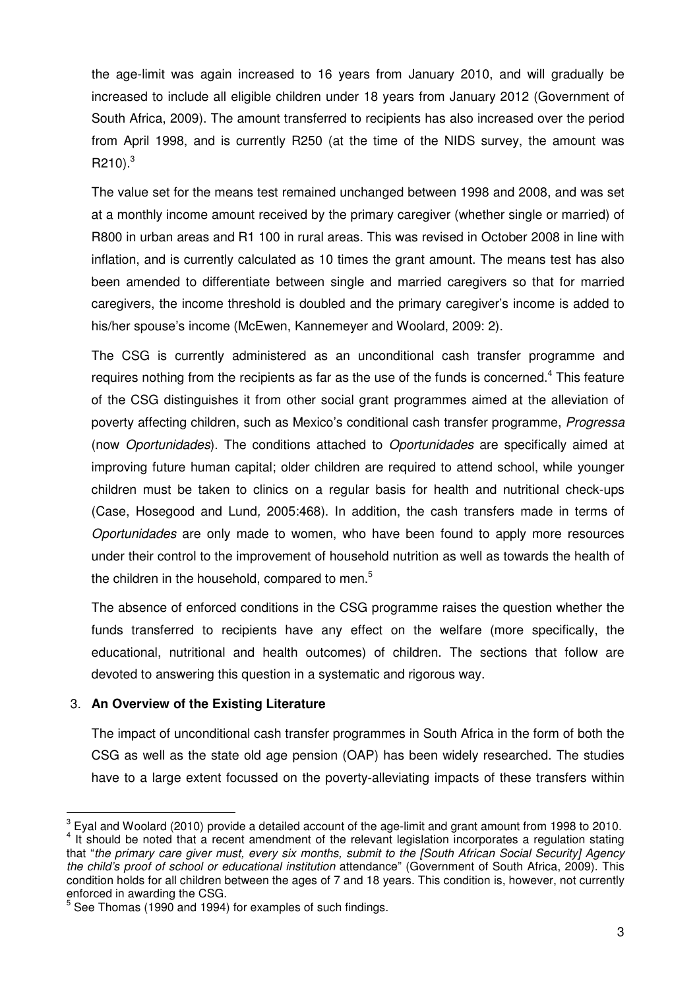the age-limit was again increased to 16 years from January 2010, and will gradually be increased to include all eligible children under 18 years from January 2012 (Government of South Africa, 2009). The amount transferred to recipients has also increased over the period from April 1998, and is currently R250 (at the time of the NIDS survey, the amount was  $R210$ ) $^{3}$ 

The value set for the means test remained unchanged between 1998 and 2008, and was set at a monthly income amount received by the primary caregiver (whether single or married) of R800 in urban areas and R1 100 in rural areas. This was revised in October 2008 in line with inflation, and is currently calculated as 10 times the grant amount. The means test has also been amended to differentiate between single and married caregivers so that for married caregivers, the income threshold is doubled and the primary caregiver's income is added to his/her spouse's income (McEwen, Kannemeyer and Woolard, 2009: 2).

The CSG is currently administered as an unconditional cash transfer programme and requires nothing from the recipients as far as the use of the funds is concerned.<sup>4</sup> This feature of the CSG distinguishes it from other social grant programmes aimed at the alleviation of poverty affecting children, such as Mexico's conditional cash transfer programme, Progressa (now Oportunidades). The conditions attached to Oportunidades are specifically aimed at improving future human capital; older children are required to attend school, while younger children must be taken to clinics on a regular basis for health and nutritional check-ups (Case, Hosegood and Lund, 2005:468). In addition, the cash transfers made in terms of Oportunidades are only made to women, who have been found to apply more resources under their control to the improvement of household nutrition as well as towards the health of the children in the household, compared to men.<sup>5</sup>

The absence of enforced conditions in the CSG programme raises the question whether the funds transferred to recipients have any effect on the welfare (more specifically, the educational, nutritional and health outcomes) of children. The sections that follow are devoted to answering this question in a systematic and rigorous way.

### 3. **An Overview of the Existing Literature**

 $\overline{a}$ 

The impact of unconditional cash transfer programmes in South Africa in the form of both the CSG as well as the state old age pension (OAP) has been widely researched. The studies have to a large extent focussed on the poverty-alleviating impacts of these transfers within

 $^3$  Eyal and Woolard (2010) provide a detailed account of the age-limit and grant amount from 1998 to 2010. <sup>4</sup> It should be noted that a recent amendment of the relevant legislation incorporates a regulation stating that "the primary care giver must, every six months, submit to the [South African Social Security] Agency the child's proof of school or educational institution attendance" (Government of South Africa, 2009). This condition holds for all children between the ages of 7 and 18 years. This condition is, however, not currently enforced in awarding the CSG.

<sup>5</sup> See Thomas (1990 and 1994) for examples of such findings.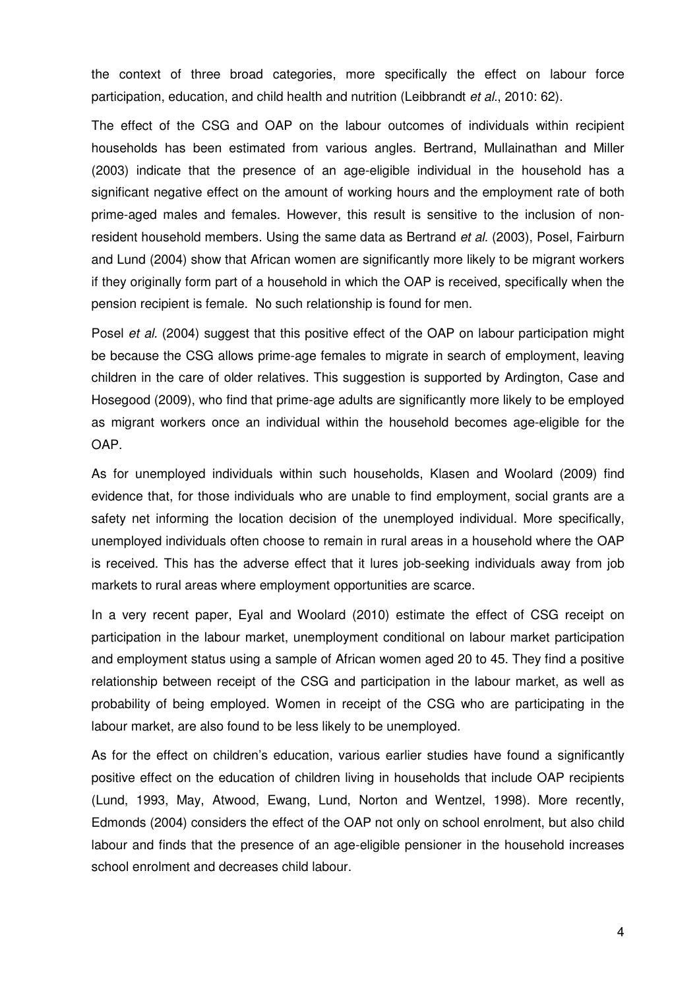the context of three broad categories, more specifically the effect on labour force participation, education, and child health and nutrition (Leibbrandt et al., 2010: 62).

The effect of the CSG and OAP on the labour outcomes of individuals within recipient households has been estimated from various angles. Bertrand, Mullainathan and Miller (2003) indicate that the presence of an age-eligible individual in the household has a significant negative effect on the amount of working hours and the employment rate of both prime-aged males and females. However, this result is sensitive to the inclusion of nonresident household members. Using the same data as Bertrand et al. (2003), Posel, Fairburn and Lund (2004) show that African women are significantly more likely to be migrant workers if they originally form part of a household in which the OAP is received, specifically when the pension recipient is female. No such relationship is found for men.

Posel et al. (2004) suggest that this positive effect of the OAP on labour participation might be because the CSG allows prime-age females to migrate in search of employment, leaving children in the care of older relatives. This suggestion is supported by Ardington, Case and Hosegood (2009), who find that prime-age adults are significantly more likely to be employed as migrant workers once an individual within the household becomes age-eligible for the OAP.

As for unemployed individuals within such households, Klasen and Woolard (2009) find evidence that, for those individuals who are unable to find employment, social grants are a safety net informing the location decision of the unemployed individual. More specifically, unemployed individuals often choose to remain in rural areas in a household where the OAP is received. This has the adverse effect that it lures job-seeking individuals away from job markets to rural areas where employment opportunities are scarce.

In a very recent paper, Eyal and Woolard (2010) estimate the effect of CSG receipt on participation in the labour market, unemployment conditional on labour market participation and employment status using a sample of African women aged 20 to 45. They find a positive relationship between receipt of the CSG and participation in the labour market, as well as probability of being employed. Women in receipt of the CSG who are participating in the labour market, are also found to be less likely to be unemployed.

As for the effect on children's education, various earlier studies have found a significantly positive effect on the education of children living in households that include OAP recipients (Lund, 1993, May, Atwood, Ewang, Lund, Norton and Wentzel, 1998). More recently, Edmonds (2004) considers the effect of the OAP not only on school enrolment, but also child labour and finds that the presence of an age-eligible pensioner in the household increases school enrolment and decreases child labour.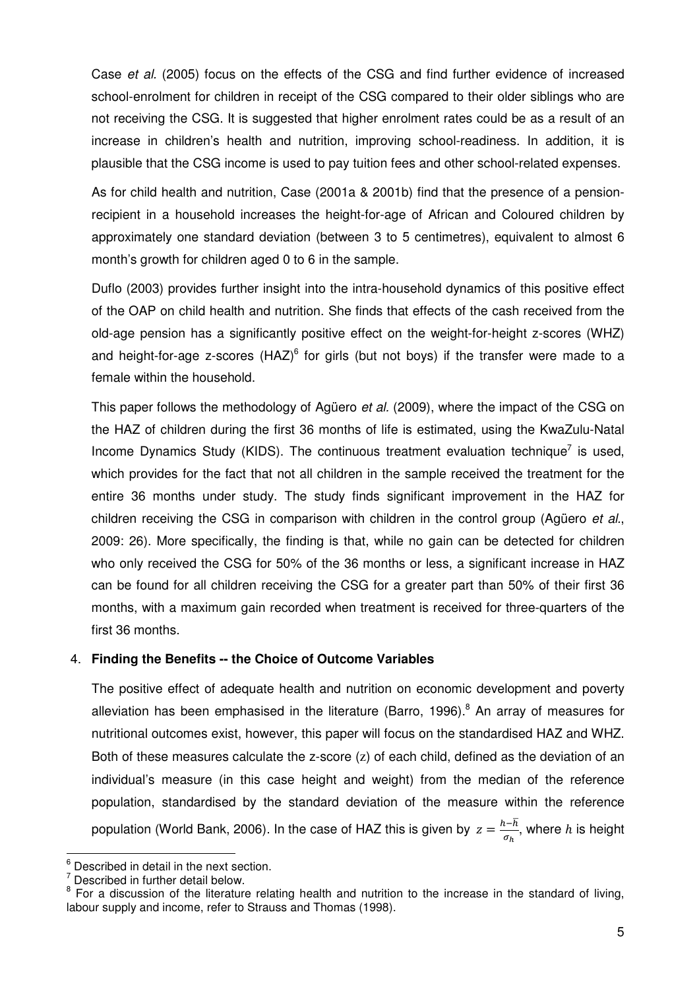Case et al. (2005) focus on the effects of the CSG and find further evidence of increased school-enrolment for children in receipt of the CSG compared to their older siblings who are not receiving the CSG. It is suggested that higher enrolment rates could be as a result of an increase in children's health and nutrition, improving school-readiness. In addition, it is plausible that the CSG income is used to pay tuition fees and other school-related expenses.

As for child health and nutrition, Case (2001a & 2001b) find that the presence of a pensionrecipient in a household increases the height-for-age of African and Coloured children by approximately one standard deviation (between 3 to 5 centimetres), equivalent to almost 6 month's growth for children aged 0 to 6 in the sample.

Duflo (2003) provides further insight into the intra-household dynamics of this positive effect of the OAP on child health and nutrition. She finds that effects of the cash received from the old-age pension has a significantly positive effect on the weight-for-height z-scores (WHZ) and height-for-age z-scores (HAZ) $^6$  for girls (but not boys) if the transfer were made to a female within the household.

This paper follows the methodology of Agüero et al. (2009), where the impact of the CSG on the HAZ of children during the first 36 months of life is estimated, using the KwaZulu-Natal Income Dynamics Study (KIDS). The continuous treatment evaluation technique<sup>7</sup> is used, which provides for the fact that not all children in the sample received the treatment for the entire 36 months under study. The study finds significant improvement in the HAZ for children receiving the CSG in comparison with children in the control group (Agüero et al., 2009: 26). More specifically, the finding is that, while no gain can be detected for children who only received the CSG for 50% of the 36 months or less, a significant increase in HAZ can be found for all children receiving the CSG for a greater part than 50% of their first 36 months, with a maximum gain recorded when treatment is received for three-quarters of the first 36 months.

### 4. **Finding the Benefits -- the Choice of Outcome Variables**

The positive effect of adequate health and nutrition on economic development and poverty alleviation has been emphasised in the literature (Barro, 1996).<sup>8</sup> An array of measures for nutritional outcomes exist, however, this paper will focus on the standardised HAZ and WHZ. Both of these measures calculate the z-score (z) of each child, defined as the deviation of an individual's measure (in this case height and weight) from the median of the reference population, standardised by the standard deviation of the measure within the reference population (World Bank, 2006). In the case of HAZ this is given by  $z=\frac{h-\overline{h}}{a}$  $\frac{n}{\sigma_h}$ , where *h* is height

 $<sup>6</sup>$  Described in detail in the next section.</sup>

 $\frac{7}{7}$  Described in further detail below.

<sup>&</sup>lt;sup>8</sup> For a discussion of the literature relating health and nutrition to the increase in the standard of living, labour supply and income, refer to Strauss and Thomas (1998).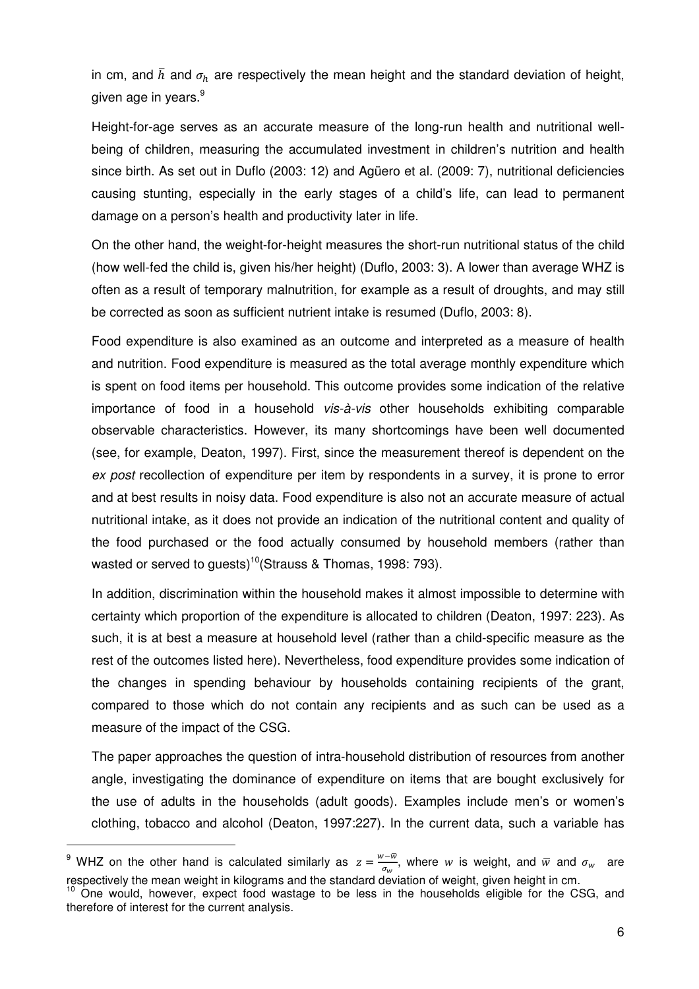in cm, and  $\bar{h}$  and  $\sigma_h$  are respectively the mean height and the standard deviation of height, given age in years.<sup>9</sup>

Height-for-age serves as an accurate measure of the long-run health and nutritional wellbeing of children, measuring the accumulated investment in children's nutrition and health since birth. As set out in Duflo (2003: 12) and Agüero et al. (2009: 7), nutritional deficiencies causing stunting, especially in the early stages of a child's life, can lead to permanent damage on a person's health and productivity later in life.

On the other hand, the weight-for-height measures the short-run nutritional status of the child (how well-fed the child is, given his/her height) (Duflo, 2003: 3). A lower than average WHZ is often as a result of temporary malnutrition, for example as a result of droughts, and may still be corrected as soon as sufficient nutrient intake is resumed (Duflo, 2003: 8).

Food expenditure is also examined as an outcome and interpreted as a measure of health and nutrition. Food expenditure is measured as the total average monthly expenditure which is spent on food items per household. This outcome provides some indication of the relative importance of food in a household vis-à-vis other households exhibiting comparable observable characteristics. However, its many shortcomings have been well documented (see, for example, Deaton, 1997). First, since the measurement thereof is dependent on the ex post recollection of expenditure per item by respondents in a survey, it is prone to error and at best results in noisy data. Food expenditure is also not an accurate measure of actual nutritional intake, as it does not provide an indication of the nutritional content and quality of the food purchased or the food actually consumed by household members (rather than wasted or served to quests)<sup>10</sup>(Strauss & Thomas, 1998: 793).

In addition, discrimination within the household makes it almost impossible to determine with certainty which proportion of the expenditure is allocated to children (Deaton, 1997: 223). As such, it is at best a measure at household level (rather than a child-specific measure as the rest of the outcomes listed here). Nevertheless, food expenditure provides some indication of the changes in spending behaviour by households containing recipients of the grant, compared to those which do not contain any recipients and as such can be used as a measure of the impact of the CSG.

The paper approaches the question of intra-household distribution of resources from another angle, investigating the dominance of expenditure on items that are bought exclusively for the use of adults in the households (adult goods). Examples include men's or women's clothing, tobacco and alcohol (Deaton, 1997:227). In the current data, such a variable has

<sup>&</sup>lt;sup>9</sup> WHZ on the other hand is calculated similarly as  $z = \frac{w - \overline{w}}{\sigma}$  $\frac{\partial w}{\partial w}$ , where w is weight, and  $\overline{w}$  and  $\sigma_w$  are respectively the mean weight in kilograms and the standard deviation of weight, given height in cm.

<sup>&</sup>lt;sup>10</sup> One would, however, expect food wastage to be less in the households eligible for the CSG, and therefore of interest for the current analysis.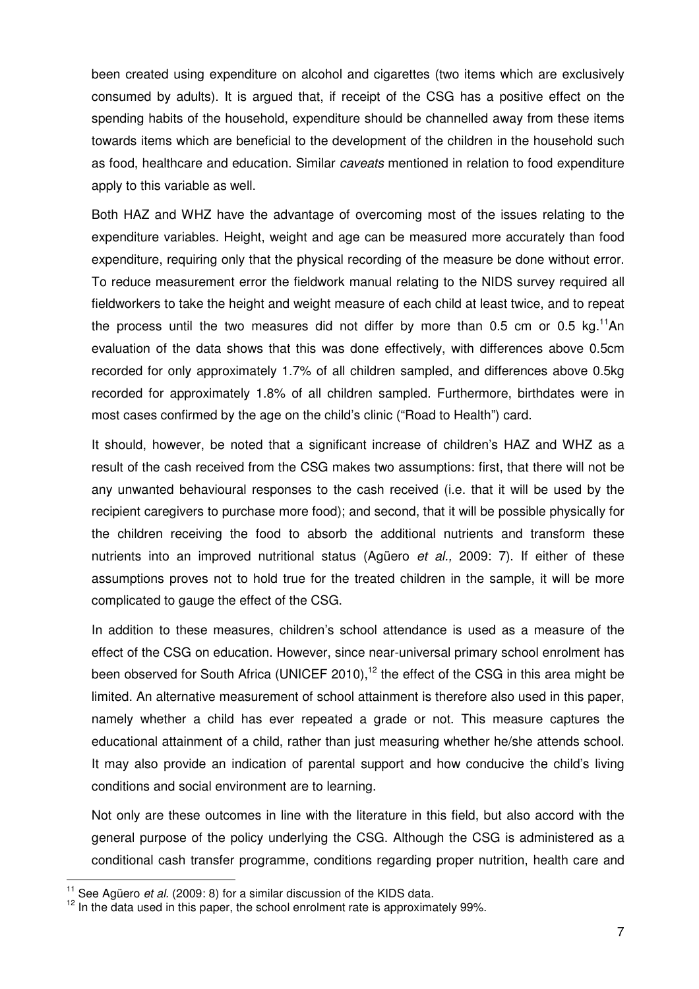been created using expenditure on alcohol and cigarettes (two items which are exclusively consumed by adults). It is argued that, if receipt of the CSG has a positive effect on the spending habits of the household, expenditure should be channelled away from these items towards items which are beneficial to the development of the children in the household such as food, healthcare and education. Similar caveats mentioned in relation to food expenditure apply to this variable as well.

Both HAZ and WHZ have the advantage of overcoming most of the issues relating to the expenditure variables. Height, weight and age can be measured more accurately than food expenditure, requiring only that the physical recording of the measure be done without error. To reduce measurement error the fieldwork manual relating to the NIDS survey required all fieldworkers to take the height and weight measure of each child at least twice, and to repeat the process until the two measures did not differ by more than 0.5 cm or 0.5 kg.<sup>11</sup>An evaluation of the data shows that this was done effectively, with differences above 0.5cm recorded for only approximately 1.7% of all children sampled, and differences above 0.5kg recorded for approximately 1.8% of all children sampled. Furthermore, birthdates were in most cases confirmed by the age on the child's clinic ("Road to Health") card.

It should, however, be noted that a significant increase of children's HAZ and WHZ as a result of the cash received from the CSG makes two assumptions: first, that there will not be any unwanted behavioural responses to the cash received (i.e. that it will be used by the recipient caregivers to purchase more food); and second, that it will be possible physically for the children receiving the food to absorb the additional nutrients and transform these nutrients into an improved nutritional status (Agüero *et al.*, 2009: 7). If either of these assumptions proves not to hold true for the treated children in the sample, it will be more complicated to gauge the effect of the CSG.

In addition to these measures, children's school attendance is used as a measure of the effect of the CSG on education. However, since near-universal primary school enrolment has been observed for South Africa (UNICEF 2010),<sup>12</sup> the effect of the CSG in this area might be limited. An alternative measurement of school attainment is therefore also used in this paper, namely whether a child has ever repeated a grade or not. This measure captures the educational attainment of a child, rather than just measuring whether he/she attends school. It may also provide an indication of parental support and how conducive the child's living conditions and social environment are to learning.

Not only are these outcomes in line with the literature in this field, but also accord with the general purpose of the policy underlying the CSG. Although the CSG is administered as a conditional cash transfer programme, conditions regarding proper nutrition, health care and

 $11$  See Agüero *et al.* (2009: 8) for a similar discussion of the KIDS data.

 $12$  In the data used in this paper, the school enrolment rate is approximately 99%.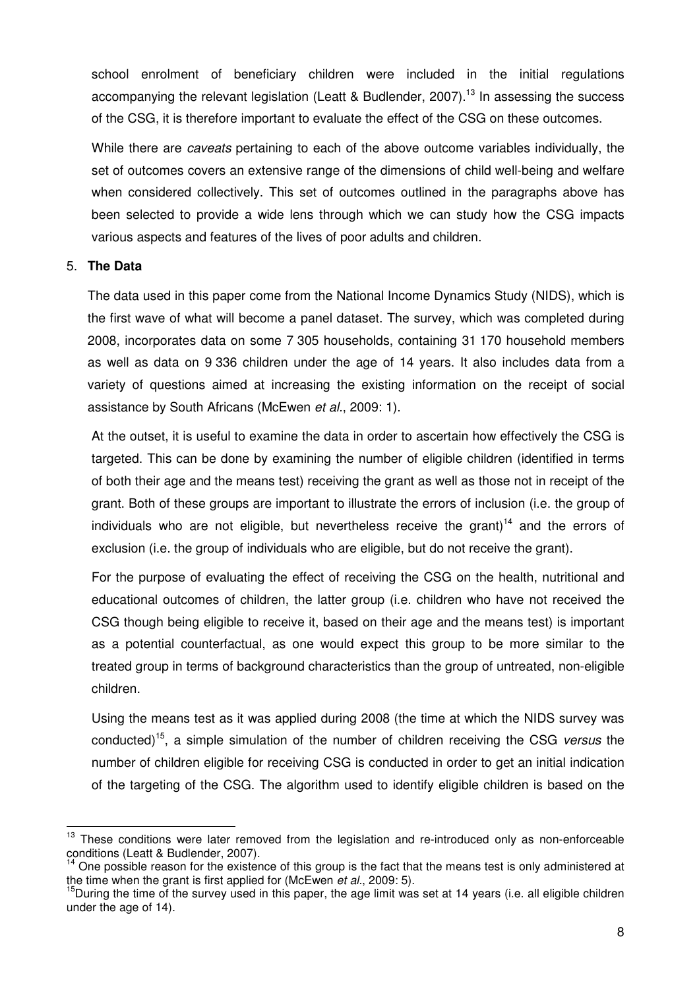school enrolment of beneficiary children were included in the initial regulations accompanying the relevant legislation (Leatt & Budlender, 2007).<sup>13</sup> In assessing the success of the CSG, it is therefore important to evaluate the effect of the CSG on these outcomes.

While there are caveats pertaining to each of the above outcome variables individually, the set of outcomes covers an extensive range of the dimensions of child well-being and welfare when considered collectively. This set of outcomes outlined in the paragraphs above has been selected to provide a wide lens through which we can study how the CSG impacts various aspects and features of the lives of poor adults and children.

## 5. **The Data**

 $\overline{a}$ 

The data used in this paper come from the National Income Dynamics Study (NIDS), which is the first wave of what will become a panel dataset. The survey, which was completed during 2008, incorporates data on some 7 305 households, containing 31 170 household members as well as data on 9 336 children under the age of 14 years. It also includes data from a variety of questions aimed at increasing the existing information on the receipt of social assistance by South Africans (McEwen et al., 2009: 1).

At the outset, it is useful to examine the data in order to ascertain how effectively the CSG is targeted. This can be done by examining the number of eligible children (identified in terms of both their age and the means test) receiving the grant as well as those not in receipt of the grant. Both of these groups are important to illustrate the errors of inclusion (i.e. the group of individuals who are not eligible, but nevertheless receive the grant)<sup>14</sup> and the errors of exclusion (i.e. the group of individuals who are eligible, but do not receive the grant).

For the purpose of evaluating the effect of receiving the CSG on the health, nutritional and educational outcomes of children, the latter group (i.e. children who have not received the CSG though being eligible to receive it, based on their age and the means test) is important as a potential counterfactual, as one would expect this group to be more similar to the treated group in terms of background characteristics than the group of untreated, non-eligible children.

Using the means test as it was applied during 2008 (the time at which the NIDS survey was conducted)<sup>15</sup>, a simple simulation of the number of children receiving the CSG versus the number of children eligible for receiving CSG is conducted in order to get an initial indication of the targeting of the CSG. The algorithm used to identify eligible children is based on the

<sup>&</sup>lt;sup>13</sup> These conditions were later removed from the legislation and re-introduced only as non-enforceable conditions (Leatt & Budlender, 2007).

One possible reason for the existence of this group is the fact that the means test is only administered at the time when the grant is first applied for (McEwen et al., 2009: 5).

 $15$ During the time of the survey used in this paper, the age limit was set at 14 years (i.e. all eligible children under the age of 14).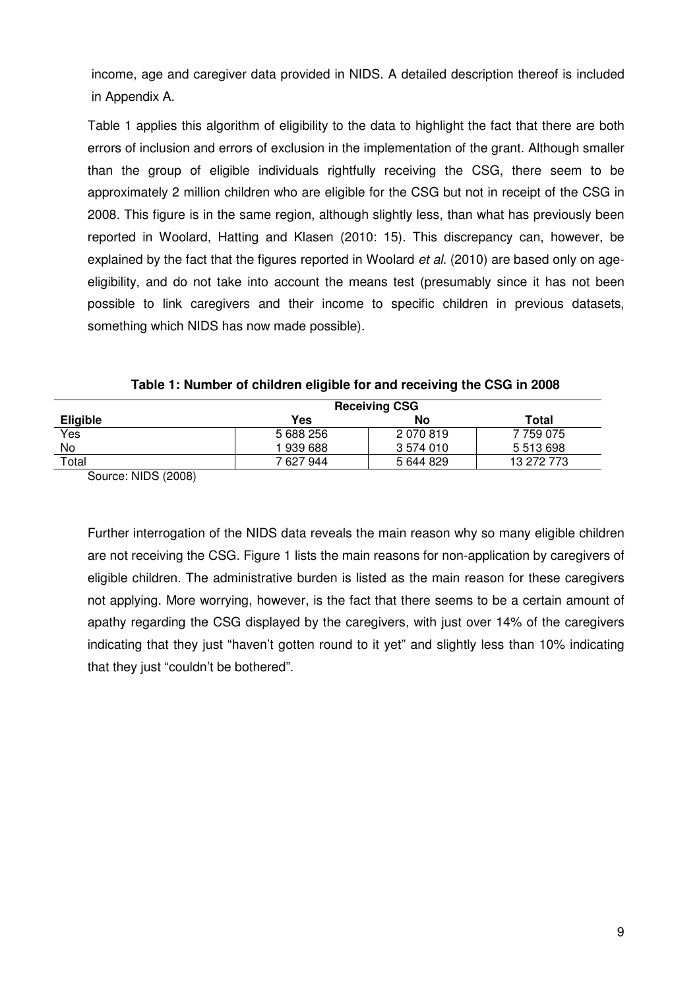income, age and caregiver data provided in NIDS. A detailed description thereof is included in Appendix A.

Table 1 applies this algorithm of eligibility to the data to highlight the fact that there are both errors of inclusion and errors of exclusion in the implementation of the grant. Although smaller than the group of eligible individuals rightfully receiving the CSG, there seem to be approximately 2 million children who are eligible for the CSG but not in receipt of the CSG in 2008. This figure is in the same region, although slightly less, than what has previously been reported in Woolard, Hatting and Klasen (2010: 15). This discrepancy can, however, be explained by the fact that the figures reported in Woolard *et al.* (2010) are based only on ageeligibility, and do not take into account the means test (presumably since it has not been possible to link caregivers and their income to specific children in previous datasets, something which NIDS has now made possible).

| <b>Receiving CSG</b> |           |            |  |  |  |  |  |  |
|----------------------|-----------|------------|--|--|--|--|--|--|
| Yes                  | No        | Total      |  |  |  |  |  |  |
| 5 688 256            | 2 070 819 | 7 759 075  |  |  |  |  |  |  |
| 1 939 688            | 3 574 010 | 5 513 698  |  |  |  |  |  |  |
| 7 627 944            | 5 644 829 | 13 272 773 |  |  |  |  |  |  |
|                      |           |            |  |  |  |  |  |  |

**Table 1: Number of children eligible for and receiving the CSG in 2008** 

Source: NIDS (2008)

Further interrogation of the NIDS data reveals the main reason why so many eligible children are not receiving the CSG. Figure 1 lists the main reasons for non-application by caregivers of eligible children. The administrative burden is listed as the main reason for these caregivers not applying. More worrying, however, is the fact that there seems to be a certain amount of apathy regarding the CSG displayed by the caregivers, with just over 14% of the caregivers indicating that they just "haven't gotten round to it yet" and slightly less than 10% indicating that they just "couldn't be bothered".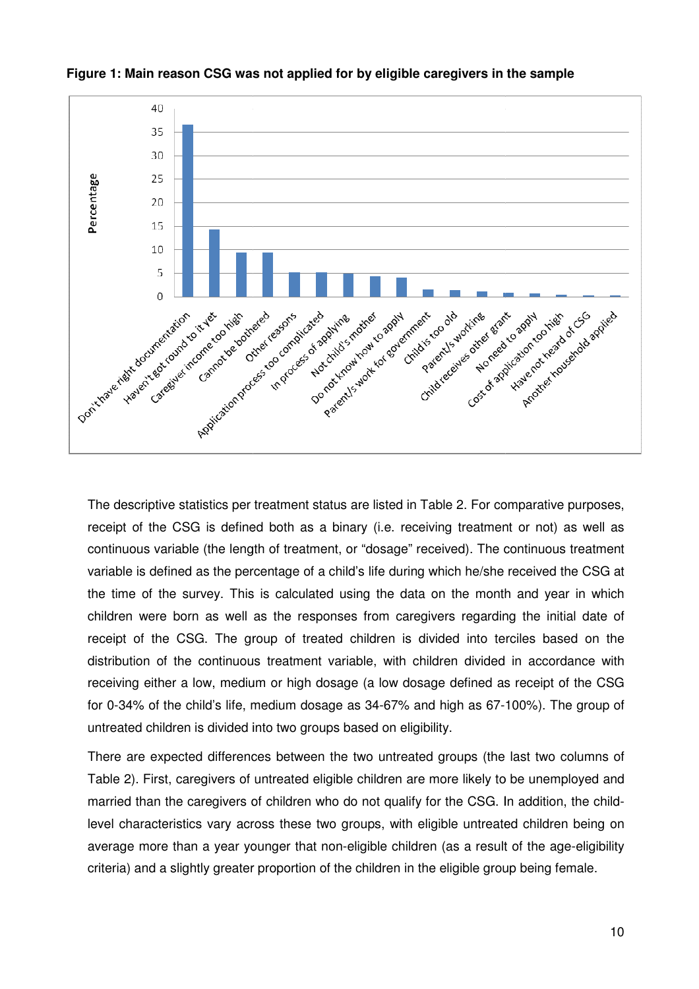

**Figure 1: Main reason CSG was not applied for by eligible caregivers in the sample :** 

The descriptive statistics per treatment status are listed in Table 2. For comparative purposes, receipt of the CSG is defined both as a binary (i.e. receiving treatment or not) as well as continuous variable (the length of treatment, or "dosage" received). The continuous treatment variable is defined as the percentage of a child's life during which he/she received the CSG at the time of the survey. This is calculated using the data on the month and year in which children were born as well as the responses from caregivers regarding the initial date of receipt of the CSG. The group of treated children is divided into terciles based on the distribution of the continuous treatment variable, with children divided in accordance with receiving either a low, medium or high dosage (a low dosage defined as receipt of the CSG for 0-34% of the child's life, medium dosage as 34-67% and high as 67-100%). The group of untreated children is divided into two groups based on eligibility. ics per treatment status are listed in Table 2. For comparative purposes,<br>s defined both as a binary (i.e. receiving treatment or not) as well as<br>he length of treatment, or "dosage" received). The continuous treatment<br>the regarding the initial date of<br>into terciles based on the<br>divided in accordance with<br>fined as receipt of the CSG<br>as 67-100%). The group of<br>ps (the last two columns of<br>likely to be unemployed and<br>CSG. In addition, the child-

There are expected differences between the two untreated groups (the last two columns of Table 2). First, caregivers of untreated eligible children are more likely to be unemployed and married than the caregivers of children who do not qualify for the CSG. In addition, the child level characteristics vary across these two groups, with eligible untreated children being on level characteristics vary across these two groups, with eligible untreated children being on<br>average more than a year younger that non-eligible children (as a result of the age-eligibility criteria) and a slightly greater proportion of the children in the eligible group being female.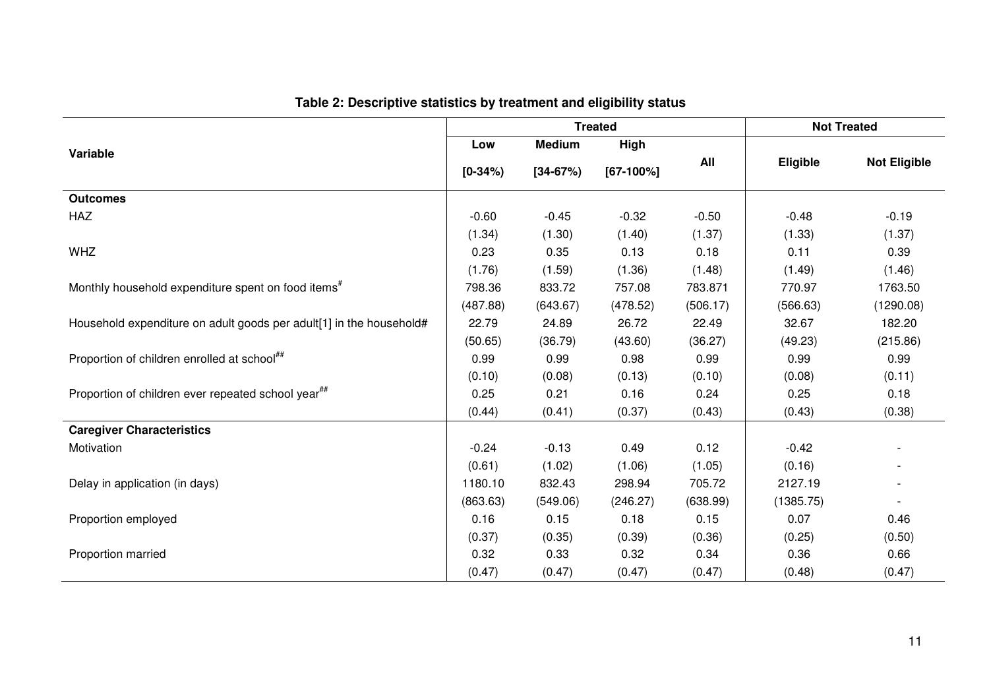|                                                                     |           | <b>Treated</b> |             | <b>Not Treated</b> |           |                     |
|---------------------------------------------------------------------|-----------|----------------|-------------|--------------------|-----------|---------------------|
| Variable                                                            | Low       | <b>Medium</b>  | High        |                    |           |                     |
|                                                                     | $[0-34%]$ | $[34-67%]$     | $[67-100%]$ | All                | Eligible  | <b>Not Eligible</b> |
| <b>Outcomes</b>                                                     |           |                |             |                    |           |                     |
| <b>HAZ</b>                                                          | $-0.60$   | $-0.45$        | $-0.32$     | $-0.50$            | $-0.48$   | $-0.19$             |
|                                                                     | (1.34)    | (1.30)         | (1.40)      | (1.37)             | (1.33)    | (1.37)              |
| <b>WHZ</b>                                                          | 0.23      | 0.35           | 0.13        | 0.18               | 0.11      | 0.39                |
|                                                                     | (1.76)    | (1.59)         | (1.36)      | (1.48)             | (1.49)    | (1.46)              |
| Monthly household expenditure spent on food items <sup>#</sup>      | 798.36    | 833.72         | 757.08      | 783.871            | 770.97    | 1763.50             |
|                                                                     | (487.88)  | (643.67)       | (478.52)    | (506.17)           | (566.63)  | (1290.08)           |
| Household expenditure on adult goods per adult[1] in the household# | 22.79     | 24.89          | 26.72       | 22.49              | 32.67     | 182.20              |
|                                                                     | (50.65)   | (36.79)        | (43.60)     | (36.27)            | (49.23)   | (215.86)            |
| Proportion of children enrolled at school##                         | 0.99      | 0.99           | 0.98        | 0.99               | 0.99      | 0.99                |
|                                                                     | (0.10)    | (0.08)         | (0.13)      | (0.10)             | (0.08)    | (0.11)              |
| Proportion of children ever repeated school year <sup>##</sup>      | 0.25      | 0.21           | 0.16        | 0.24               | 0.25      | 0.18                |
|                                                                     | (0.44)    | (0.41)         | (0.37)      | (0.43)             | (0.43)    | (0.38)              |
| <b>Caregiver Characteristics</b>                                    |           |                |             |                    |           |                     |
| Motivation                                                          | $-0.24$   | $-0.13$        | 0.49        | 0.12               | $-0.42$   |                     |
|                                                                     | (0.61)    | (1.02)         | (1.06)      | (1.05)             | (0.16)    |                     |
| Delay in application (in days)                                      | 1180.10   | 832.43         | 298.94      | 705.72             | 2127.19   |                     |
|                                                                     | (863.63)  | (549.06)       | (246.27)    | (638.99)           | (1385.75) |                     |
| Proportion employed                                                 | 0.16      | 0.15           | 0.18        | 0.15               | 0.07      | 0.46                |
|                                                                     | (0.37)    | (0.35)         | (0.39)      | (0.36)             | (0.25)    | (0.50)              |
| Proportion married                                                  | 0.32      | 0.33           | 0.32        | 0.34               | 0.36      | 0.66                |
|                                                                     | (0.47)    | (0.47)         | (0.47)      | (0.47)             | (0.48)    | (0.47)              |

## **Table 2: Descriptive statistics by treatment and eligibility status**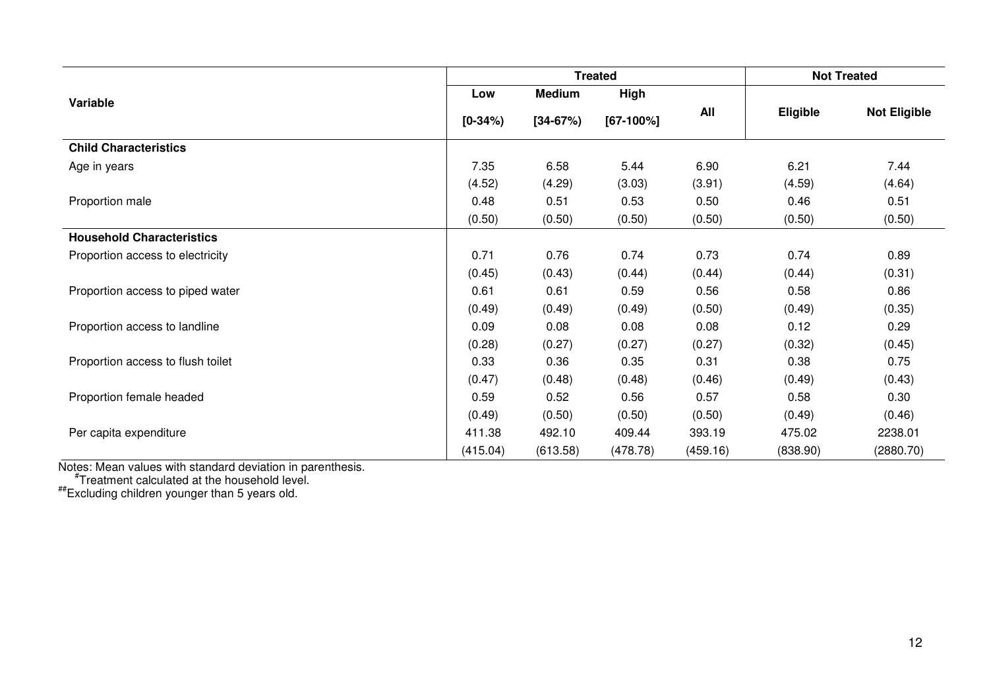|                                   |           |               | <b>Treated</b> |          |                 | <b>Not Treated</b>  |
|-----------------------------------|-----------|---------------|----------------|----------|-----------------|---------------------|
| Variable                          | Low       | <b>Medium</b> | High           |          |                 |                     |
|                                   | $[0-34%]$ | $[34-67%]$    | $[67-100%]$    | All      | <b>Eligible</b> | <b>Not Eligible</b> |
| <b>Child Characteristics</b>      |           |               |                |          |                 |                     |
| Age in years                      | 7.35      | 6.58          | 5.44           | 6.90     | 6.21            | 7.44                |
|                                   | (4.52)    | (4.29)        | (3.03)         | (3.91)   | (4.59)          | (4.64)              |
| Proportion male                   | 0.48      | 0.51          | 0.53           | 0.50     | 0.46            | 0.51                |
|                                   | (0.50)    | (0.50)        | (0.50)         | (0.50)   | (0.50)          | (0.50)              |
| <b>Household Characteristics</b>  |           |               |                |          |                 |                     |
| Proportion access to electricity  | 0.71      | 0.76          | 0.74           | 0.73     | 0.74            | 0.89                |
|                                   | (0.45)    | (0.43)        | (0.44)         | (0.44)   | (0.44)          | (0.31)              |
| Proportion access to piped water  | 0.61      | 0.61          | 0.59           | 0.56     | 0.58            | 0.86                |
|                                   | (0.49)    | (0.49)        | (0.49)         | (0.50)   | (0.49)          | (0.35)              |
| Proportion access to landline     | 0.09      | 0.08          | 0.08           | 0.08     | 0.12            | 0.29                |
|                                   | (0.28)    | (0.27)        | (0.27)         | (0.27)   | (0.32)          | (0.45)              |
| Proportion access to flush toilet | 0.33      | 0.36          | 0.35           | 0.31     | 0.38            | 0.75                |
|                                   | (0.47)    | (0.48)        | (0.48)         | (0.46)   | (0.49)          | (0.43)              |
| Proportion female headed          | 0.59      | 0.52          | 0.56           | 0.57     | 0.58            | 0.30                |
|                                   | (0.49)    | (0.50)        | (0.50)         | (0.50)   | (0.49)          | (0.46)              |
| Per capita expenditure            | 411.38    | 492.10        | 409.44         | 393.19   | 475.02          | 2238.01             |
|                                   | (415.04)  | (613.58)      | (478.78)       | (459.16) | (838.90)        | (2880.70)           |

Notes: Mean values with standard deviation in parenthesis.<br>#Treatment calculated at the household level.<br>#Excluding children younger than 5 years old.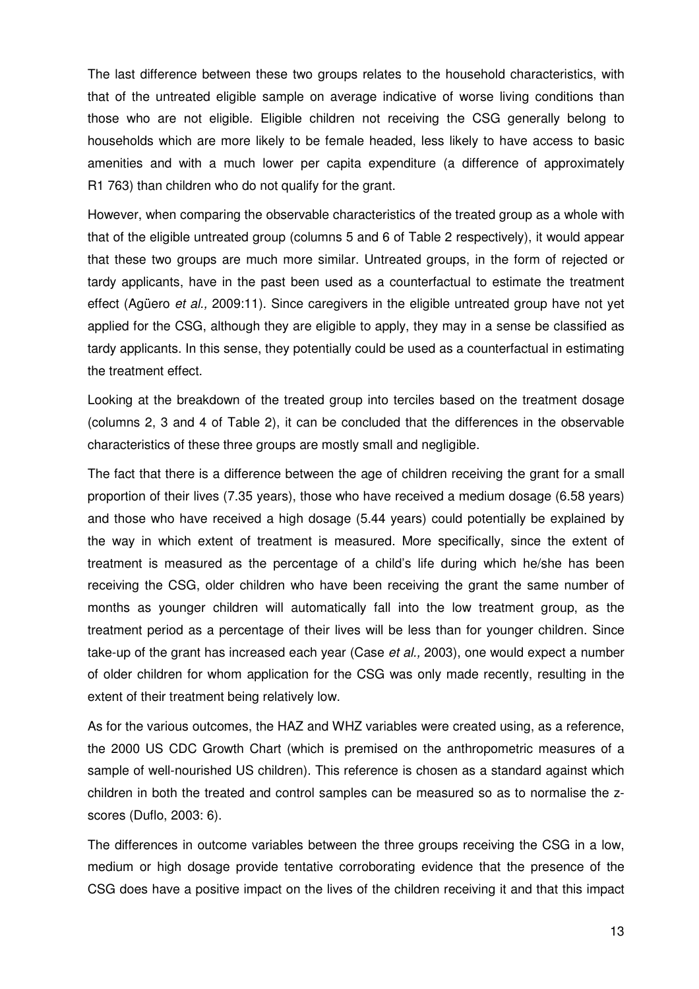The last difference between these two groups relates to the household characteristics, with that of the untreated eligible sample on average indicative of worse living conditions than those who are not eligible. Eligible children not receiving the CSG generally belong to households which are more likely to be female headed, less likely to have access to basic amenities and with a much lower per capita expenditure (a difference of approximately R1 763) than children who do not qualify for the grant.

However, when comparing the observable characteristics of the treated group as a whole with that of the eligible untreated group (columns 5 and 6 of Table 2 respectively), it would appear that these two groups are much more similar. Untreated groups, in the form of rejected or tardy applicants, have in the past been used as a counterfactual to estimate the treatment effect (Agüero et al., 2009:11). Since caregivers in the eligible untreated group have not yet applied for the CSG, although they are eligible to apply, they may in a sense be classified as tardy applicants. In this sense, they potentially could be used as a counterfactual in estimating the treatment effect.

Looking at the breakdown of the treated group into terciles based on the treatment dosage (columns 2, 3 and 4 of Table 2), it can be concluded that the differences in the observable characteristics of these three groups are mostly small and negligible.

The fact that there is a difference between the age of children receiving the grant for a small proportion of their lives (7.35 years), those who have received a medium dosage (6.58 years) and those who have received a high dosage (5.44 years) could potentially be explained by the way in which extent of treatment is measured. More specifically, since the extent of treatment is measured as the percentage of a child's life during which he/she has been receiving the CSG, older children who have been receiving the grant the same number of months as younger children will automatically fall into the low treatment group, as the treatment period as a percentage of their lives will be less than for younger children. Since take-up of the grant has increased each year (Case et al., 2003), one would expect a number of older children for whom application for the CSG was only made recently, resulting in the extent of their treatment being relatively low.

As for the various outcomes, the HAZ and WHZ variables were created using, as a reference, the 2000 US CDC Growth Chart (which is premised on the anthropometric measures of a sample of well-nourished US children). This reference is chosen as a standard against which children in both the treated and control samples can be measured so as to normalise the zscores (Duflo, 2003: 6).

The differences in outcome variables between the three groups receiving the CSG in a low, medium or high dosage provide tentative corroborating evidence that the presence of the CSG does have a positive impact on the lives of the children receiving it and that this impact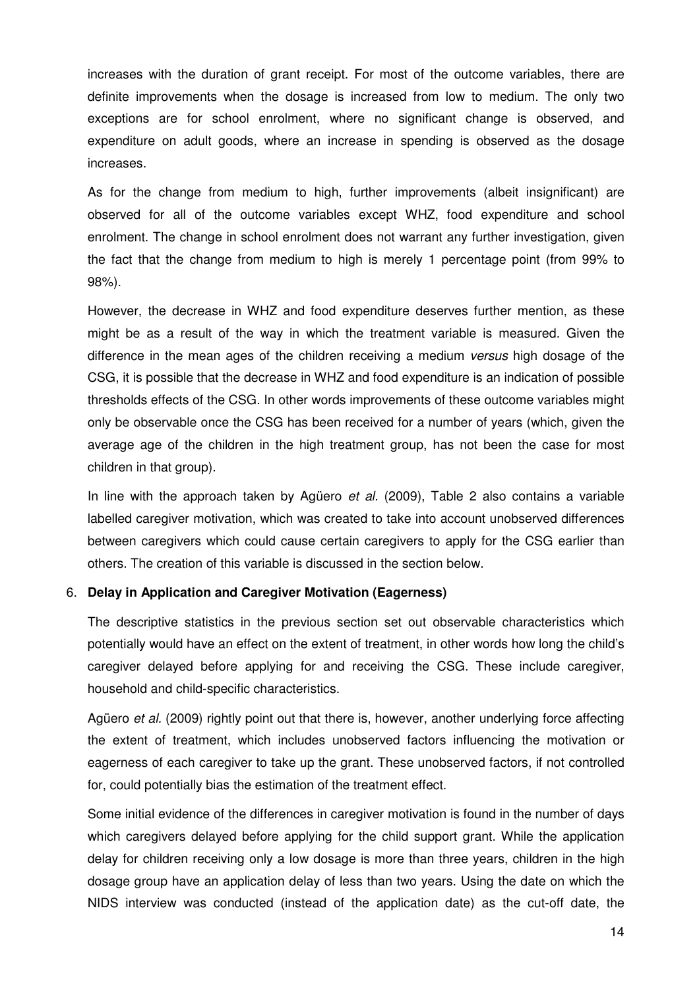increases with the duration of grant receipt. For most of the outcome variables, there are definite improvements when the dosage is increased from low to medium. The only two exceptions are for school enrolment, where no significant change is observed, and expenditure on adult goods, where an increase in spending is observed as the dosage increases.

As for the change from medium to high, further improvements (albeit insignificant) are observed for all of the outcome variables except WHZ, food expenditure and school enrolment. The change in school enrolment does not warrant any further investigation, given the fact that the change from medium to high is merely 1 percentage point (from 99% to 98%).

However, the decrease in WHZ and food expenditure deserves further mention, as these might be as a result of the way in which the treatment variable is measured. Given the difference in the mean ages of the children receiving a medium versus high dosage of the CSG, it is possible that the decrease in WHZ and food expenditure is an indication of possible thresholds effects of the CSG. In other words improvements of these outcome variables might only be observable once the CSG has been received for a number of years (which, given the average age of the children in the high treatment group, has not been the case for most children in that group).

In line with the approach taken by Agüero et al. (2009), Table 2 also contains a variable labelled caregiver motivation, which was created to take into account unobserved differences between caregivers which could cause certain caregivers to apply for the CSG earlier than others. The creation of this variable is discussed in the section below.

### 6. **Delay in Application and Caregiver Motivation (Eagerness)**

The descriptive statistics in the previous section set out observable characteristics which potentially would have an effect on the extent of treatment, in other words how long the child's caregiver delayed before applying for and receiving the CSG. These include caregiver, household and child-specific characteristics.

Agüero et al. (2009) rightly point out that there is, however, another underlying force affecting the extent of treatment, which includes unobserved factors influencing the motivation or eagerness of each caregiver to take up the grant. These unobserved factors, if not controlled for, could potentially bias the estimation of the treatment effect.

Some initial evidence of the differences in caregiver motivation is found in the number of days which caregivers delayed before applying for the child support grant. While the application delay for children receiving only a low dosage is more than three years, children in the high dosage group have an application delay of less than two years. Using the date on which the NIDS interview was conducted (instead of the application date) as the cut-off date, the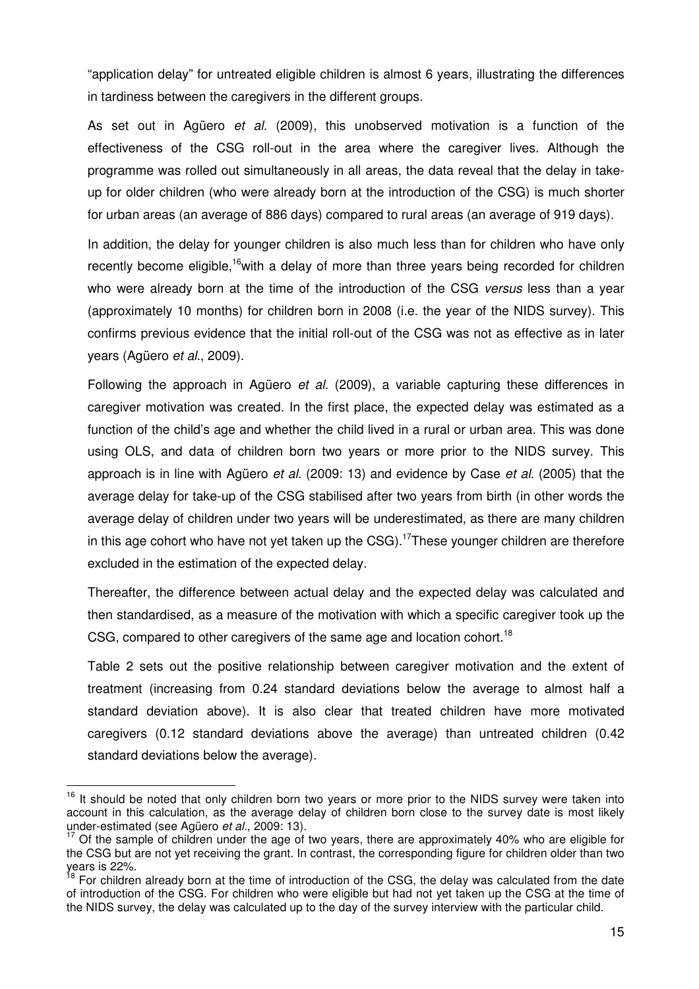"application delay" for untreated eligible children is almost 6 years, illustrating the differences in tardiness between the caregivers in the different groups.

As set out in Agüero et al. (2009), this unobserved motivation is a function of the effectiveness of the CSG roll-out in the area where the caregiver lives. Although the programme was rolled out simultaneously in all areas, the data reveal that the delay in takeup for older children (who were already born at the introduction of the CSG) is much shorter for urban areas (an average of 886 days) compared to rural areas (an average of 919 days).

In addition, the delay for younger children is also much less than for children who have only recently become eligible,<sup>16</sup>with a delay of more than three years being recorded for children who were already born at the time of the introduction of the CSG versus less than a year (approximately 10 months) for children born in 2008 (i.e. the year of the NIDS survey). This confirms previous evidence that the initial roll-out of the CSG was not as effective as in later years (Agüero et al., 2009).

Following the approach in Agüero et al. (2009), a variable capturing these differences in caregiver motivation was created. In the first place, the expected delay was estimated as a function of the child's age and whether the child lived in a rural or urban area. This was done using OLS, and data of children born two years or more prior to the NIDS survey. This approach is in line with Agüero et al. (2009: 13) and evidence by Case et al. (2005) that the average delay for take-up of the CSG stabilised after two years from birth (in other words the average delay of children under two years will be underestimated, as there are many children in this age cohort who have not yet taken up the  $CSG$ ).<sup>17</sup>These younger children are therefore excluded in the estimation of the expected delay.

Thereafter, the difference between actual delay and the expected delay was calculated and then standardised, as a measure of the motivation with which a specific caregiver took up the CSG, compared to other caregivers of the same age and location cohort.<sup>18</sup>

Table 2 sets out the positive relationship between caregiver motivation and the extent of treatment (increasing from 0.24 standard deviations below the average to almost half a standard deviation above). It is also clear that treated children have more motivated caregivers (0.12 standard deviations above the average) than untreated children (0.42 standard deviations below the average).

 $16$  It should be noted that only children born two years or more prior to the NIDS survey were taken into account in this calculation, as the average delay of children born close to the survey date is most likely under-estimated (see Agüero *et al.*, 2009: 13).

<sup>17</sup> Of the sample of children under the age of two years, there are approximately 40% who are eligible for the CSG but are not yet receiving the grant. In contrast, the corresponding figure for children older than two years is 22%.

<sup>&</sup>lt;sup>18</sup> For children already born at the time of introduction of the CSG, the delay was calculated from the date of introduction of the CSG. For children who were eligible but had not yet taken up the CSG at the time of the NIDS survey, the delay was calculated up to the day of the survey interview with the particular child.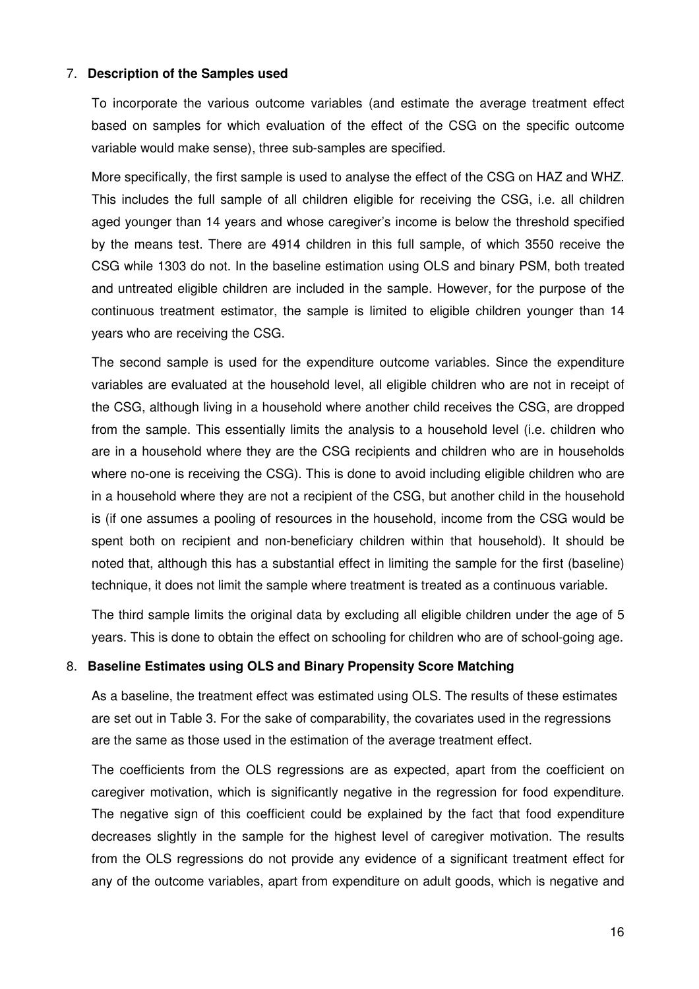#### 7. **Description of the Samples used**

To incorporate the various outcome variables (and estimate the average treatment effect based on samples for which evaluation of the effect of the CSG on the specific outcome variable would make sense), three sub-samples are specified.

More specifically, the first sample is used to analyse the effect of the CSG on HAZ and WHZ. This includes the full sample of all children eligible for receiving the CSG, i.e. all children aged younger than 14 years and whose caregiver's income is below the threshold specified by the means test. There are 4914 children in this full sample, of which 3550 receive the CSG while 1303 do not. In the baseline estimation using OLS and binary PSM, both treated and untreated eligible children are included in the sample. However, for the purpose of the continuous treatment estimator, the sample is limited to eligible children younger than 14 years who are receiving the CSG.

The second sample is used for the expenditure outcome variables. Since the expenditure variables are evaluated at the household level, all eligible children who are not in receipt of the CSG, although living in a household where another child receives the CSG, are dropped from the sample. This essentially limits the analysis to a household level (i.e. children who are in a household where they are the CSG recipients and children who are in households where no-one is receiving the CSG). This is done to avoid including eligible children who are in a household where they are not a recipient of the CSG, but another child in the household is (if one assumes a pooling of resources in the household, income from the CSG would be spent both on recipient and non-beneficiary children within that household). It should be noted that, although this has a substantial effect in limiting the sample for the first (baseline) technique, it does not limit the sample where treatment is treated as a continuous variable.

The third sample limits the original data by excluding all eligible children under the age of 5 years. This is done to obtain the effect on schooling for children who are of school-going age.

#### 8. **Baseline Estimates using OLS and Binary Propensity Score Matching**

As a baseline, the treatment effect was estimated using OLS. The results of these estimates are set out in Table 3. For the sake of comparability, the covariates used in the regressions are the same as those used in the estimation of the average treatment effect.

The coefficients from the OLS regressions are as expected, apart from the coefficient on caregiver motivation, which is significantly negative in the regression for food expenditure. The negative sign of this coefficient could be explained by the fact that food expenditure decreases slightly in the sample for the highest level of caregiver motivation. The results from the OLS regressions do not provide any evidence of a significant treatment effect for any of the outcome variables, apart from expenditure on adult goods, which is negative and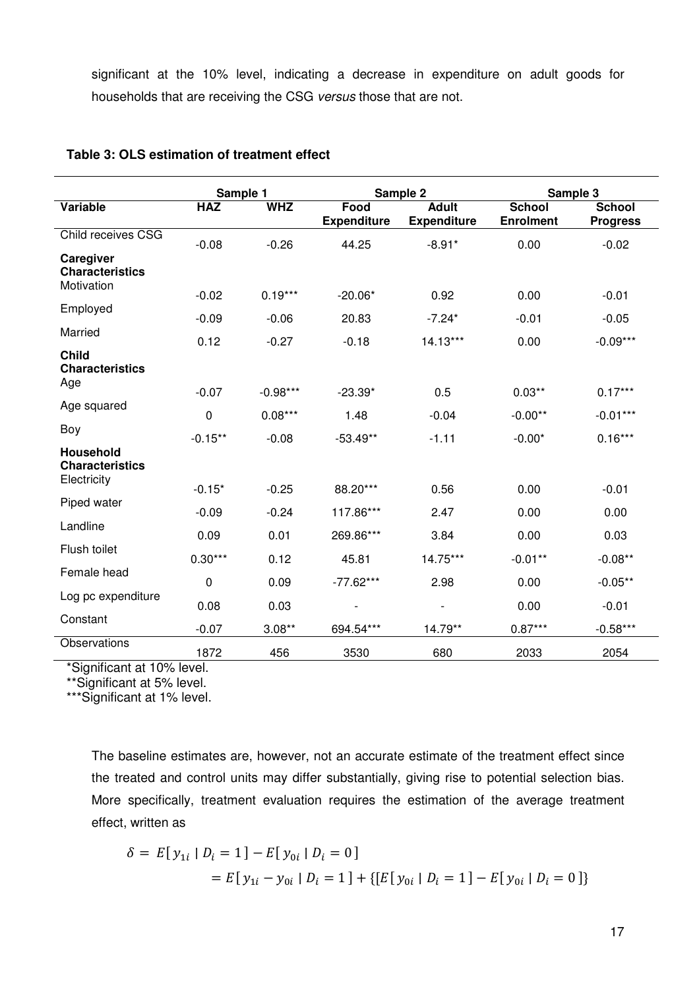significant at the 10% level, indicating a decrease in expenditure on adult goods for households that are receiving the CSG versus those that are not.

|                                        | Sample 1    |            |                          | Sample 2                 | Sample 3         |                 |
|----------------------------------------|-------------|------------|--------------------------|--------------------------|------------------|-----------------|
| Variable                               | <b>HAZ</b>  | <b>WHZ</b> | Food                     | <b>Adult</b>             | <b>School</b>    | <b>School</b>   |
|                                        |             |            | <b>Expenditure</b>       | <b>Expenditure</b>       | <b>Enrolment</b> | <b>Progress</b> |
| Child receives CSG                     | $-0.08$     | $-0.26$    | 44.25                    | $-8.91*$                 | 0.00             | $-0.02$         |
| Caregiver<br><b>Characteristics</b>    |             |            |                          |                          |                  |                 |
| Motivation                             | $-0.02$     | $0.19***$  | $-20.06*$                | 0.92                     | 0.00             | $-0.01$         |
| Employed                               | $-0.09$     | $-0.06$    | 20.83                    | $-7.24*$                 | $-0.01$          | $-0.05$         |
| Married                                | 0.12        | $-0.27$    | $-0.18$                  | $14.13***$               | 0.00             | $-0.09***$      |
| <b>Child</b><br><b>Characteristics</b> |             |            |                          |                          |                  |                 |
| Age                                    | $-0.07$     | $-0.98***$ | $-23.39*$                | 0.5                      | $0.03***$        | $0.17***$       |
| Age squared                            | $\mathbf 0$ | $0.08***$  | 1.48                     | $-0.04$                  | $-0.00**$        | $-0.01***$      |
| Boy                                    | $-0.15**$   | $-0.08$    | $-53.49**$               | $-1.11$                  | $-0.00*$         | $0.16***$       |
| Household<br><b>Characteristics</b>    |             |            |                          |                          |                  |                 |
| Electricity                            | $-0.15*$    | $-0.25$    | 88.20***                 | 0.56                     | 0.00             | $-0.01$         |
| Piped water                            | $-0.09$     | $-0.24$    | 117.86***                | 2.47                     | 0.00             | 0.00            |
| Landline                               | 0.09        | 0.01       | 269.86***                | 3.84                     | 0.00             | 0.03            |
| Flush toilet                           | $0.30***$   | 0.12       | 45.81                    | 14.75***                 | $-0.01**$        | $-0.08**$       |
| Female head                            | 0           | 0.09       | $-77.62***$              | 2.98                     | 0.00             | $-0.05**$       |
| Log pc expenditure                     | 0.08        | 0.03       | $\overline{\phantom{a}}$ | $\overline{\phantom{a}}$ | 0.00             | $-0.01$         |
| Constant                               | $-0.07$     | $3.08***$  | 694.54***                | 14.79**                  | $0.87***$        | $-0.58***$      |
| Observations                           | 1872        | 456        | 3530                     | 680                      | 2033             | 2054            |

#### **Table 3: OLS estimation of treatment effect**

\*Significant at 10% level.

\*\*Significant at 5% level.

\*\*\*Significant at 1% level.

The baseline estimates are, however, not an accurate estimate of the treatment effect since the treated and control units may differ substantially, giving rise to potential selection bias. More specifically, treatment evaluation requires the estimation of the average treatment effect, written as

$$
\delta = E[y_{1i} | D_i = 1] - E[y_{0i} | D_i = 0]
$$
  
= 
$$
E[y_{1i} - y_{0i} | D_i = 1] + \{ [E[y_{0i} | D_i = 1] - E[y_{0i} | D_i = 0] \}
$$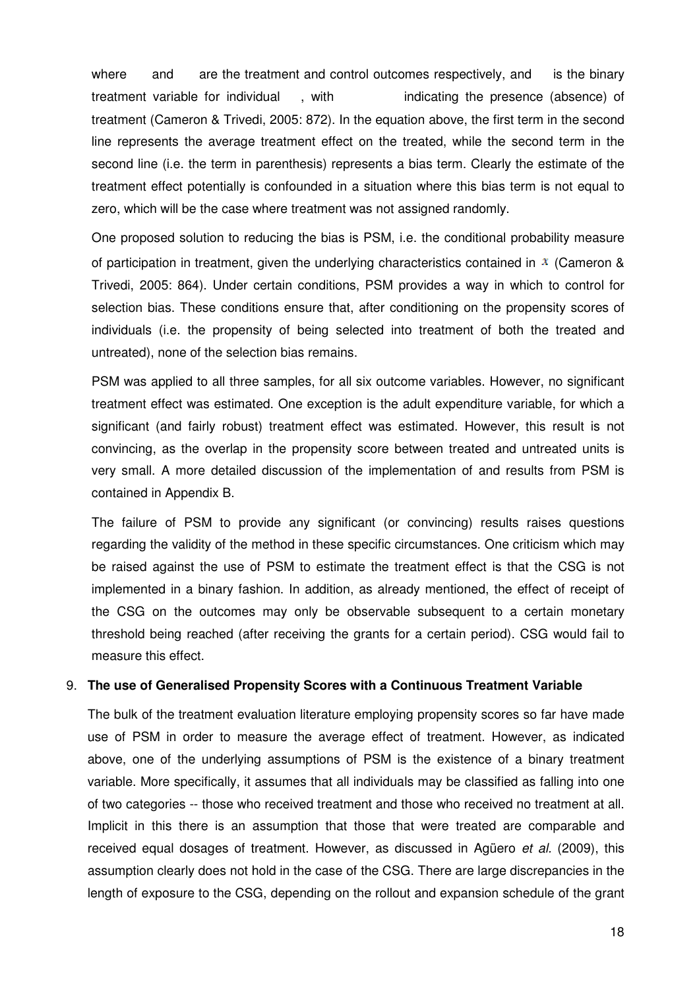where and are the treatment and control outcomes respectively, and treatment variable for individual treatment (Cameron & Trivedi, 2005: 872). In the equation above, the first term in the second line represents the average treatment effect on the treated, while the second term in the second line (i.e. the term in parenthesis) represents a bias term. Clearly the estimate of the treatment effect potentially is confounded in a situation where this bias term is not equal to zero, which will be the case where treatment was not assigned randomly. with indicating the presence (absence) of is the binary %, while the second term in the<br>erm. Clearly the estimate of the<br>re this bias term is not equal to<br>d randomly.<br>conditional probability measure<br>tics contained in  $\frac{x}{x}$  (Cameron &

One proposed solution to reducing the bias is PSM, i.e. the conditional probability measure of participation in treatment, given the underlying characteristics contained in  $\bar{x}$  (Cameron & Trivedi, 2005: 864). Under certain conditions, PSM provides a way in which to control for selection bias. These conditions ensure that, after conditioning on the propensity scores of individuals (i.e. the propensity of being selected into treatment of both the treated and untreated), none of the selection bias remains.

PSM was applied to all three samples, for all six outcome variables. However, no significant treatment effect was estimated. One exception is the adult expenditure variable, for which a significant (and fairly robust) treatment effect was estimated. However, this result is not convincing, as the overlap in the propensity score between treated and untreated units is very small. A more detailed discussion of the implementation of and results from PSM is contained in Appendix B. 005: 864). Under certain conditions, PSM provides a way in which to control for bias. These conditions ensure that, after conditioning on the propensity scores of s (i.e. the propensity of being selected into treatment of

The failure of PSM to provide any significant (or convincing) results raises questions regarding the validity of the method in these specific circumstances. One criticism which may be raised against the use of PSM to estimate the tr eatment implemented in a binary fashion. In addition, as already mentioned, the effect of receipt of the CSG on the outcomes may only be observable subsequent to a certain monetary threshold being reached (after receiving the grants for a certain period). CSG would fail to measure this effect.

#### 9. **The use of Generalised Propensity Scores with a Continuous Treatment Variable**

The bulk of the treatment evaluation literature employing propensity scores so far have made use of PSM in order to measure the average effect of treatment. However, as indicated above, one of the underlying assumptions of PSM is the existence of a binary treatment variable. More specifically, it assumes that all individuals may be classified as falling into one of two categories -- those who received treatment and those who received no treatment at all. Implicit in this there is an assumption that those that were treated are comparable and received equal dosages of treatment. However, as discussed in Agüero et al. (2009), this assumption clearly does not hold in the case of the CSG. There are large discrepancies in the length of exposure to the CSG, depending on the rollout and expansion schedule of the grant der to measure the average effect of treatment. However, as indicated<br>
underlying assumptions of PSM is the existence of a binary treatment<br>
cifically, it assumes that all individuals may be classified as falling into one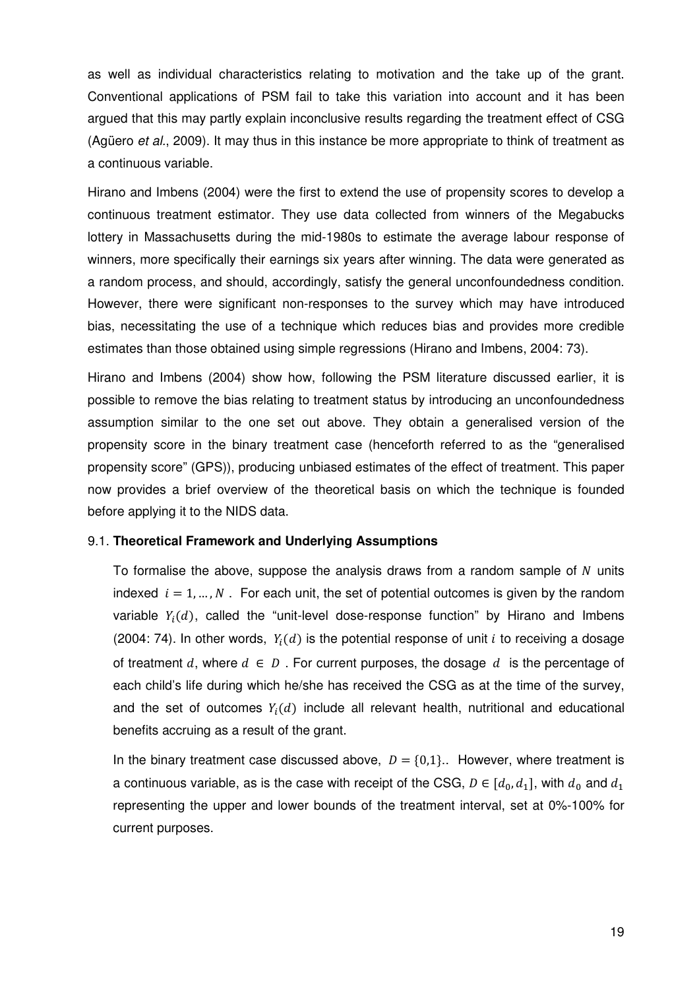as well as individual characteristics relating to motivation and the take up of the grant. Conventional applications of PSM fail to take this variation into account and it has been argued that this may partly explain inconclusive results regarding the treatment effect of CSG (Agüero et al., 2009). It may thus in this instance be more appropriate to think of treatment as a continuous variable.

Hirano and Imbens (2004) were the first to extend the use of propensity scores to develop a continuous treatment estimator. They use data collected from winners of the Megabucks lottery in Massachusetts during the mid-1980s to estimate the average labour response of winners, more specifically their earnings six years after winning. The data were generated as a random process, and should, accordingly, satisfy the general unconfoundedness condition. However, there were significant non-responses to the survey which may have introduced bias, necessitating the use of a technique which reduces bias and provides more credible estimates than those obtained using simple regressions (Hirano and Imbens, 2004: 73).

Hirano and Imbens (2004) show how, following the PSM literature discussed earlier, it is possible to remove the bias relating to treatment status by introducing an unconfoundedness assumption similar to the one set out above. They obtain a generalised version of the propensity score in the binary treatment case (henceforth referred to as the "generalised propensity score" (GPS)), producing unbiased estimates of the effect of treatment. This paper now provides a brief overview of the theoretical basis on which the technique is founded before applying it to the NIDS data.

#### 9.1. **Theoretical Framework and Underlying Assumptions**

To formalise the above, suppose the analysis draws from a random sample of  $N$  units indexed  $i = 1, ..., N$ . For each unit, the set of potential outcomes is given by the random variable  $Y_i(d)$ , called the "unit-level dose-response function" by Hirano and Imbens (2004: 74). In other words,  $Y_i(d)$  is the potential response of unit i to receiving a dosage of treatment d, where  $d \in D$ . For current purposes, the dosage d is the percentage of each child's life during which he/she has received the CSG as at the time of the survey, and the set of outcomes  $Y_i(d)$  include all relevant health, nutritional and educational benefits accruing as a result of the grant.

In the binary treatment case discussed above,  $D = \{0,1\}$ . However, where treatment is a continuous variable, as is the case with receipt of the CSG,  $D \in [d_0, d_1]$ , with  $d_0$  and  $d_1$ representing the upper and lower bounds of the treatment interval, set at 0%-100% for current purposes.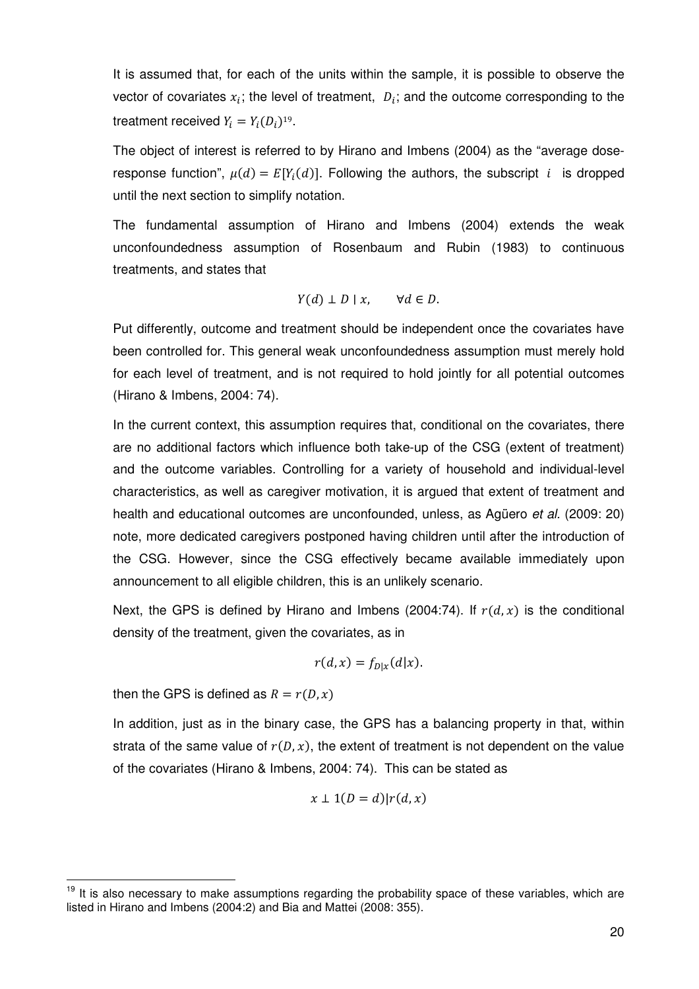It is assumed that, for each of the units within the sample, it is possible to observe the vector of covariates  $x_i$ ; the level of treatment,  $D_i$ ; and the outcome corresponding to the treatment received  $Y_i = Y_i (D_i)^{19}$ .

The object of interest is referred to by Hirano and Imbens (2004) as the "average doseresponse function",  $\mu(d) = E[Y_i(d)]$ . Following the authors, the subscript *i* is dropped until the next section to simplify notation.

The fundamental assumption of Hirano and Imbens (2004) extends the weak unconfoundedness assumption of Rosenbaum and Rubin (1983) to continuous treatments, and states that

$$
Y(d) \perp D \mid x, \qquad \forall d \in D.
$$

Put differently, outcome and treatment should be independent once the covariates have been controlled for. This general weak unconfoundedness assumption must merely hold for each level of treatment, and is not required to hold jointly for all potential outcomes (Hirano & Imbens, 2004: 74).

In the current context, this assumption requires that, conditional on the covariates, there are no additional factors which influence both take-up of the CSG (extent of treatment) and the outcome variables. Controlling for a variety of household and individual-level characteristics, as well as caregiver motivation, it is argued that extent of treatment and health and educational outcomes are unconfounded, unless, as Agüero et al. (2009: 20) note, more dedicated caregivers postponed having children until after the introduction of the CSG. However, since the CSG effectively became available immediately upon announcement to all eligible children, this is an unlikely scenario.

Next, the GPS is defined by Hirano and Imbens (2004:74). If  $r(d, x)$  is the conditional density of the treatment, given the covariates, as in

$$
r(d,x)=f_{D|x}(d|x).
$$

then the GPS is defined as  $R = r(D, x)$ 

 $\overline{a}$ 

In addition, just as in the binary case, the GPS has a balancing property in that, within strata of the same value of  $r(D, x)$ , the extent of treatment is not dependent on the value of the covariates (Hirano & Imbens, 2004: 74). This can be stated as

$$
x \perp 1(D=d)|r(d,x)
$$

<sup>&</sup>lt;sup>19</sup> It is also necessary to make assumptions regarding the probability space of these variables, which are listed in Hirano and Imbens (2004:2) and Bia and Mattei (2008: 355).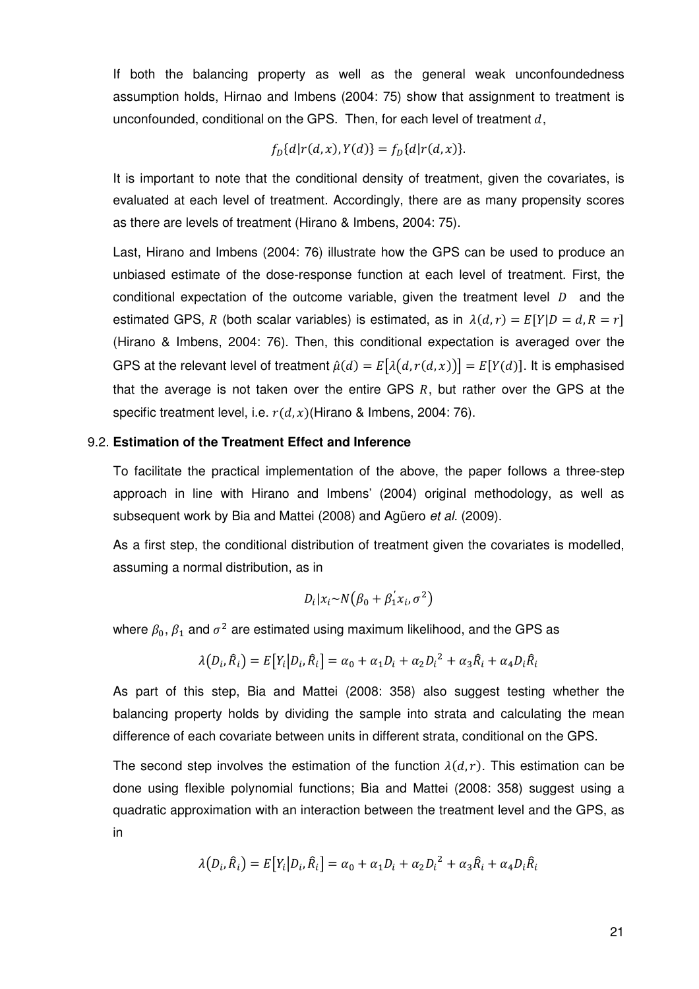If both the balancing property as well as the general weak unconfoundedness assumption holds, Hirnao and Imbens (2004: 75) show that assignment to treatment is unconfounded, conditional on the GPS. Then, for each level of treatment  $d$ ,

$$
f_D{d|r(d, x), Y(d)} = f_D{d|r(d, x)}.
$$

It is important to note that the conditional density of treatment, given the covariates, is evaluated at each level of treatment. Accordingly, there are as many propensity scores as there are levels of treatment (Hirano & Imbens, 2004: 75).

Last, Hirano and Imbens (2004: 76) illustrate how the GPS can be used to produce an unbiased estimate of the dose-response function at each level of treatment. First, the conditional expectation of the outcome variable, given the treatment level  $D$  and the estimated GPS, R (both scalar variables) is estimated, as in  $\lambda(d, r) = E[Y|D = d, R = r]$ (Hirano & Imbens, 2004: 76). Then, this conditional expectation is averaged over the GPS at the relevant level of treatment  $\hat{\mu}(d) = E[\lambda(d, r(d, x))] = E[Y(d)]$ . It is emphasised that the average is not taken over the entire GPS  $R$ , but rather over the GPS at the specific treatment level, i.e.  $r(d, x)$ (Hirano & Imbens, 2004: 76).

#### 9.2. **Estimation of the Treatment Effect and Inference**

To facilitate the practical implementation of the above, the paper follows a three-step approach in line with Hirano and Imbens' (2004) original methodology, as well as subsequent work by Bia and Mattei (2008) and Agüero et al. (2009).

As a first step, the conditional distribution of treatment given the covariates is modelled, assuming a normal distribution, as in

$$
D_i|x_i \sim N(\beta_0 + \beta_1^{'}x_i, \sigma^2)
$$

where  $\beta_0, \beta_1$  and  $\sigma^2$  are estimated using maximum likelihood, and the GPS as

$$
\lambda(D_i, \hat{R}_i) = E[Y_i | D_i, \hat{R}_i] = \alpha_0 + \alpha_1 D_i + \alpha_2 D_i^2 + \alpha_3 \hat{R}_i + \alpha_4 D_i \hat{R}_i
$$

As part of this step, Bia and Mattei (2008: 358) also suggest testing whether the balancing property holds by dividing the sample into strata and calculating the mean difference of each covariate between units in different strata, conditional on the GPS.

The second step involves the estimation of the function  $\lambda(d, r)$ . This estimation can be done using flexible polynomial functions; Bia and Mattei (2008: 358) suggest using a quadratic approximation with an interaction between the treatment level and the GPS, as in

$$
\lambda(D_i, \hat{R}_i) = E[Y_i | D_i, \hat{R}_i] = \alpha_0 + \alpha_1 D_i + \alpha_2 D_i^2 + \alpha_3 \hat{R}_i + \alpha_4 D_i \hat{R}_i
$$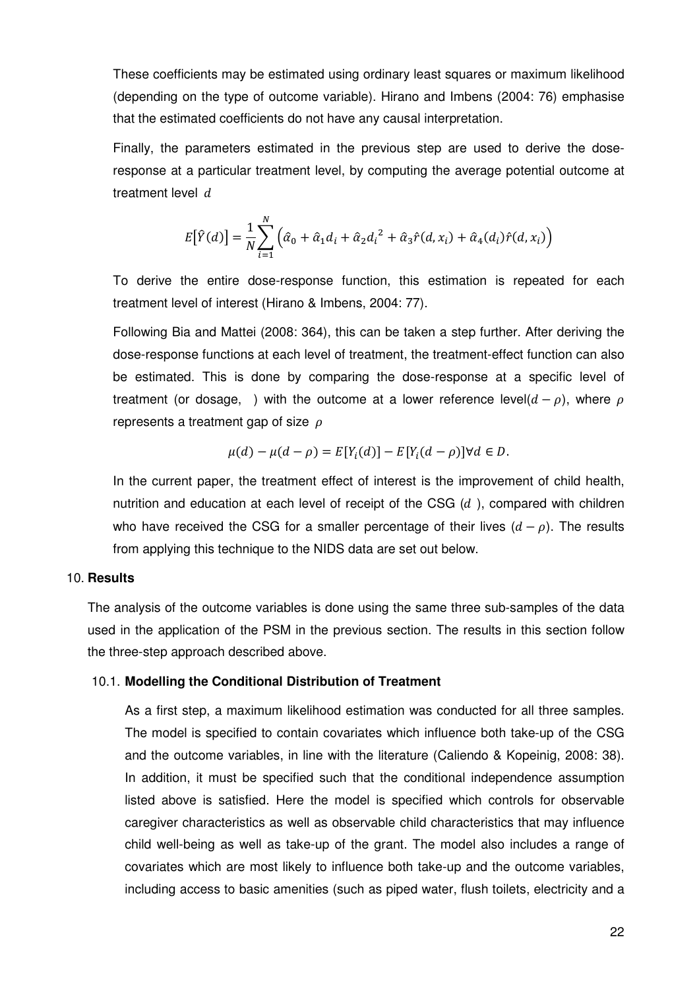These coefficients may be estimated using ordinary least squares or maximum likelihood (depending on the type of outcome variable). Hirano and Imbens (2004: 76) emphasise that the estimated coefficients do not have any causal interpretation.

Finally, the parameters estimated in the previous step are used to derive the doseresponse at a particular treatment level, by computing the average potential outcome at treatment level  $d$ 

$$
E[\hat{Y}(d)] = \frac{1}{N} \sum_{i=1}^{N} (\hat{\alpha}_0 + \hat{\alpha}_1 d_i + \hat{\alpha}_2 d_i^{2} + \hat{\alpha}_3 \hat{r}(d, x_i) + \hat{\alpha}_4 (d_i) \hat{r}(d, x_i))
$$

To derive the entire dose-response function, this estimation is repeated for each treatment level of interest (Hirano & Imbens, 2004: 77).

Following Bia and Mattei (2008: 364), this can be taken a step further. After deriving the dose-response functions at each level of treatment, the treatment-effect function can also be estimated. This is done by comparing the dose-response at a specific level of treatment (or dosage, ) with the outcome at a lower reference level( $d - \rho$ ), where  $\rho$ represents a treatment gap of size  $\rho$ 

$$
\mu(d) - \mu(d - \rho) = E[Y_i(d)] - E[Y_i(d - \rho)] \forall d \in D.
$$

In the current paper, the treatment effect of interest is the improvement of child health, nutrition and education at each level of receipt of the CSG  $(d)$ , compared with children who have received the CSG for a smaller percentage of their lives  $(d - \rho)$ . The results from applying this technique to the NIDS data are set out below.

#### 10. **Results**

The analysis of the outcome variables is done using the same three sub-samples of the data used in the application of the PSM in the previous section. The results in this section follow the three-step approach described above.

#### 10.1. **Modelling the Conditional Distribution of Treatment**

As a first step, a maximum likelihood estimation was conducted for all three samples. The model is specified to contain covariates which influence both take-up of the CSG and the outcome variables, in line with the literature (Caliendo & Kopeinig, 2008: 38). In addition, it must be specified such that the conditional independence assumption listed above is satisfied. Here the model is specified which controls for observable caregiver characteristics as well as observable child characteristics that may influence child well-being as well as take-up of the grant. The model also includes a range of covariates which are most likely to influence both take-up and the outcome variables, including access to basic amenities (such as piped water, flush toilets, electricity and a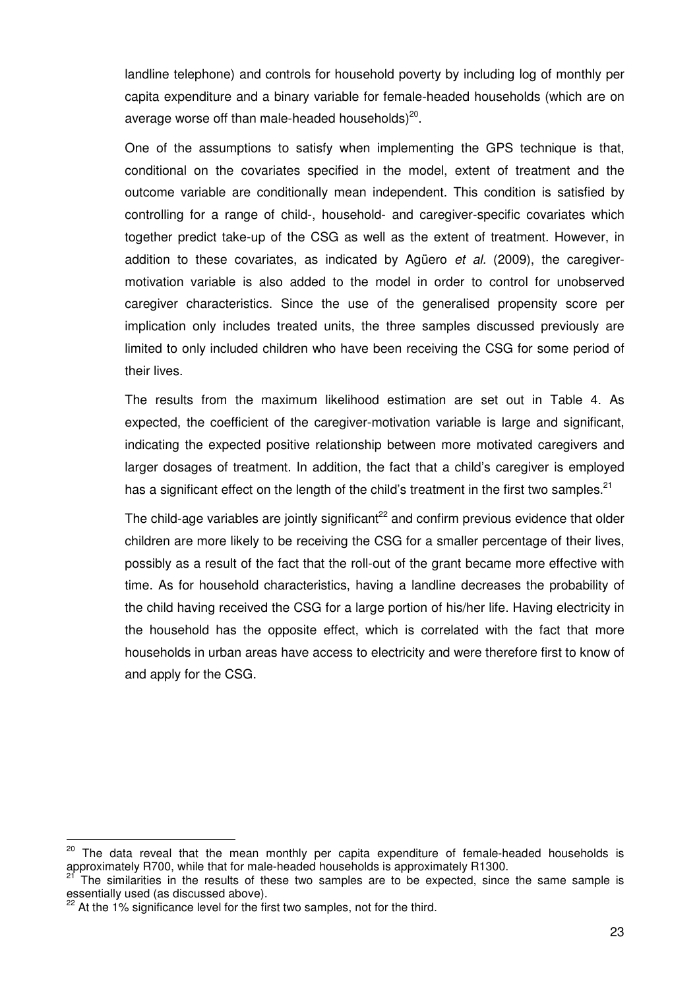landline telephone) and controls for household poverty by including log of monthly per capita expenditure and a binary variable for female-headed households (which are on average worse off than male-headed households) $^{20}$ .

One of the assumptions to satisfy when implementing the GPS technique is that, conditional on the covariates specified in the model, extent of treatment and the outcome variable are conditionally mean independent. This condition is satisfied by controlling for a range of child-, household- and caregiver-specific covariates which together predict take-up of the CSG as well as the extent of treatment. However, in addition to these covariates, as indicated by Agüero *et al.* (2009), the caregivermotivation variable is also added to the model in order to control for unobserved caregiver characteristics. Since the use of the generalised propensity score per implication only includes treated units, the three samples discussed previously are limited to only included children who have been receiving the CSG for some period of their lives.

The results from the maximum likelihood estimation are set out in Table 4. As expected, the coefficient of the caregiver-motivation variable is large and significant, indicating the expected positive relationship between more motivated caregivers and larger dosages of treatment. In addition, the fact that a child's caregiver is employed has a significant effect on the length of the child's treatment in the first two samples.<sup>21</sup>

The child-age variables are jointly significant<sup>22</sup> and confirm previous evidence that older children are more likely to be receiving the CSG for a smaller percentage of their lives, possibly as a result of the fact that the roll-out of the grant became more effective with time. As for household characteristics, having a landline decreases the probability of the child having received the CSG for a large portion of his/her life. Having electricity in the household has the opposite effect, which is correlated with the fact that more households in urban areas have access to electricity and were therefore first to know of and apply for the CSG.

 $20$  The data reveal that the mean monthly per capita expenditure of female-headed households is approximately R700, while that for male-headed households is approximately R1300.

The similarities in the results of these two samples are to be expected, since the same sample is essentially used (as discussed above).

At the 1% significance level for the first two samples, not for the third.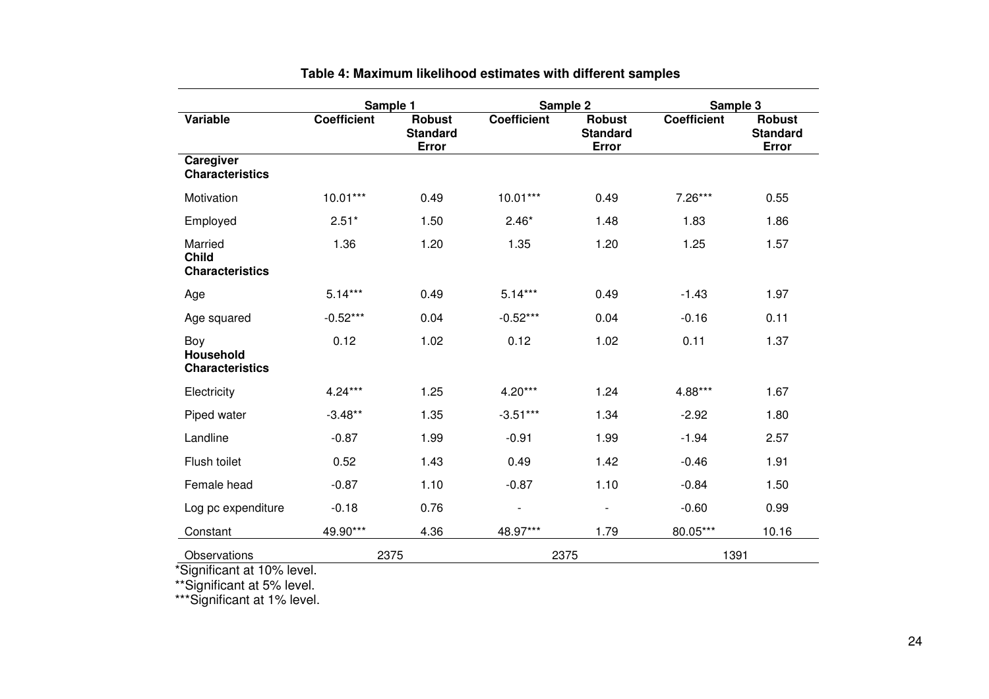|                                                   | Sample 1           |                                    | Sample 2           |                                           | Sample 3           |                                           |  |
|---------------------------------------------------|--------------------|------------------------------------|--------------------|-------------------------------------------|--------------------|-------------------------------------------|--|
| Variable                                          | <b>Coefficient</b> | Robust<br><b>Standard</b><br>Error | <b>Coefficient</b> | <b>Robust</b><br><b>Standard</b><br>Error | <b>Coefficient</b> | <b>Robust</b><br><b>Standard</b><br>Error |  |
| Caregiver<br><b>Characteristics</b>               |                    |                                    |                    |                                           |                    |                                           |  |
| Motivation                                        | $10.01***$         | 0.49                               | $10.01***$         | 0.49                                      | $7.26***$          | 0.55                                      |  |
| Employed                                          | $2.51*$            | 1.50                               | $2.46*$            | 1.48                                      | 1.83               | 1.86                                      |  |
| Married<br><b>Child</b><br><b>Characteristics</b> | 1.36               | 1.20                               | 1.35               | 1.20                                      | 1.25               | 1.57                                      |  |
| Age                                               | $5.14***$          | 0.49                               | $5.14***$          | 0.49                                      | $-1.43$            | 1.97                                      |  |
| Age squared                                       | $-0.52***$         | 0.04                               | $-0.52***$         | 0.04                                      | $-0.16$            | 0.11                                      |  |
| Boy<br><b>Household</b><br><b>Characteristics</b> | 0.12               | 1.02                               | 0.12               | 1.02                                      | 0.11               | 1.37                                      |  |
| Electricity                                       | 4.24***            | 1.25                               | $4.20***$          | 1.24                                      | 4.88***            | 1.67                                      |  |
| Piped water                                       | $-3.48**$          | 1.35                               | $-3.51***$         | 1.34                                      | $-2.92$            | 1.80                                      |  |
| Landline                                          | $-0.87$            | 1.99                               | $-0.91$            | 1.99                                      | $-1.94$            | 2.57                                      |  |
| Flush toilet                                      | 0.52               | 1.43                               | 0.49               | 1.42                                      | $-0.46$            | 1.91                                      |  |
| Female head                                       | $-0.87$            | 1.10                               | $-0.87$            | 1.10                                      | $-0.84$            | 1.50                                      |  |
| Log pc expenditure                                | $-0.18$            | 0.76                               | -                  | $\overline{\phantom{a}}$                  | $-0.60$            | 0.99                                      |  |
| Constant                                          | 49.90***           | 4.36                               | 48.97***           | 1.79                                      | 80.05***           | 10.16                                     |  |
| Observations                                      | 2375               |                                    | 2375               |                                           | 1391               |                                           |  |

## **Table 4: Maximum likelihood estimates with different samples**

\*Significant at 10% level. \*\*Significant at 5% level. \*\*\*Significant at 1% level.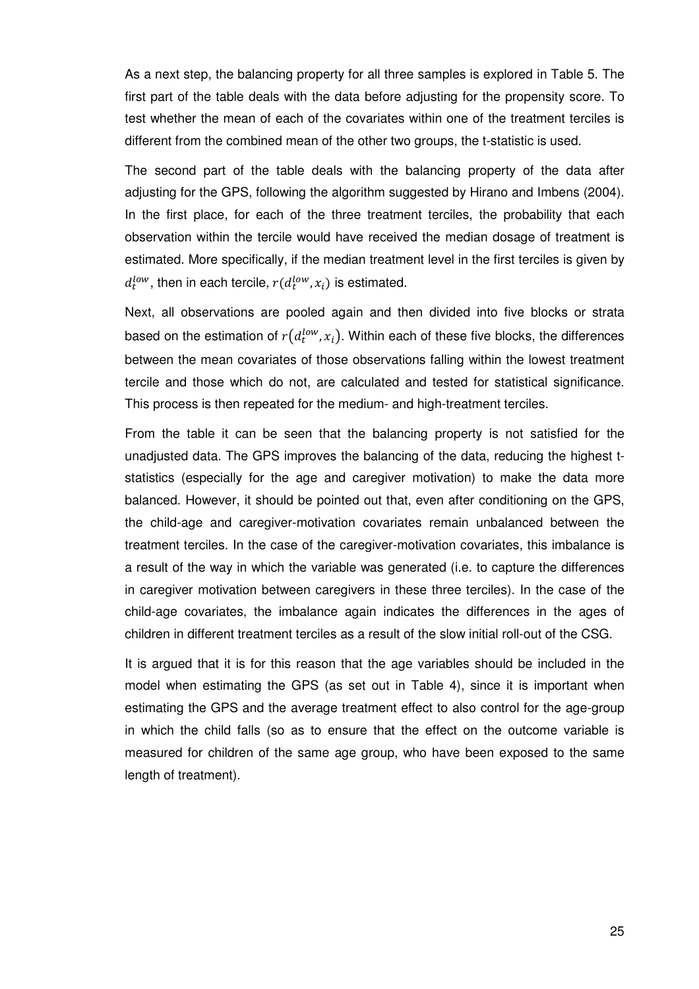As a next step, the balancing property for all three samples is explored in Table 5. The first part of the table deals with the data before adjusting for the propensity score. To test whether the mean of each of the covariates within one of the treatment terciles is different from the combined mean of the other two groups, the t-statistic is used.

The second part of the table deals with the balancing property of the data after adjusting for the GPS, following the algorithm suggested by Hirano and Imbens (2004). In the first place, for each of the three treatment terciles, the probability that each observation within the tercile would have received the median dosage of treatment is estimated. More specifically, if the median treatment level in the first terciles is given by  $d_{t}^{low}$ , then in each tercile,  $r(d_{t}^{low}, x_{i})$  is estimated.

Next, all observations are pooled again and then divided into five blocks or strata based on the estimation of  $r\left( d_t^{low}, x_i \right)$ . Within each of these five blocks, the differences between the mean covariates of those observations falling within the lowest treatment tercile and those which do not, are calculated and tested for statistical significance. This process is then repeated for the medium- and high-treatment terciles.

From the table it can be seen that the balancing property is not satisfied for the unadjusted data. The GPS improves the balancing of the data, reducing the highest tstatistics (especially for the age and caregiver motivation) to make the data more balanced. However, it should be pointed out that, even after conditioning on the GPS, the child-age and caregiver-motivation covariates remain unbalanced between the treatment terciles. In the case of the caregiver-motivation covariates, this imbalance is a result of the way in which the variable was generated (i.e. to capture the differences in caregiver motivation between caregivers in these three terciles). In the case of the child-age covariates, the imbalance again indicates the differences in the ages of children in different treatment terciles as a result of the slow initial roll-out of the CSG.

It is argued that it is for this reason that the age variables should be included in the model when estimating the GPS (as set out in Table 4), since it is important when estimating the GPS and the average treatment effect to also control for the age-group in which the child falls (so as to ensure that the effect on the outcome variable is measured for children of the same age group, who have been exposed to the same length of treatment).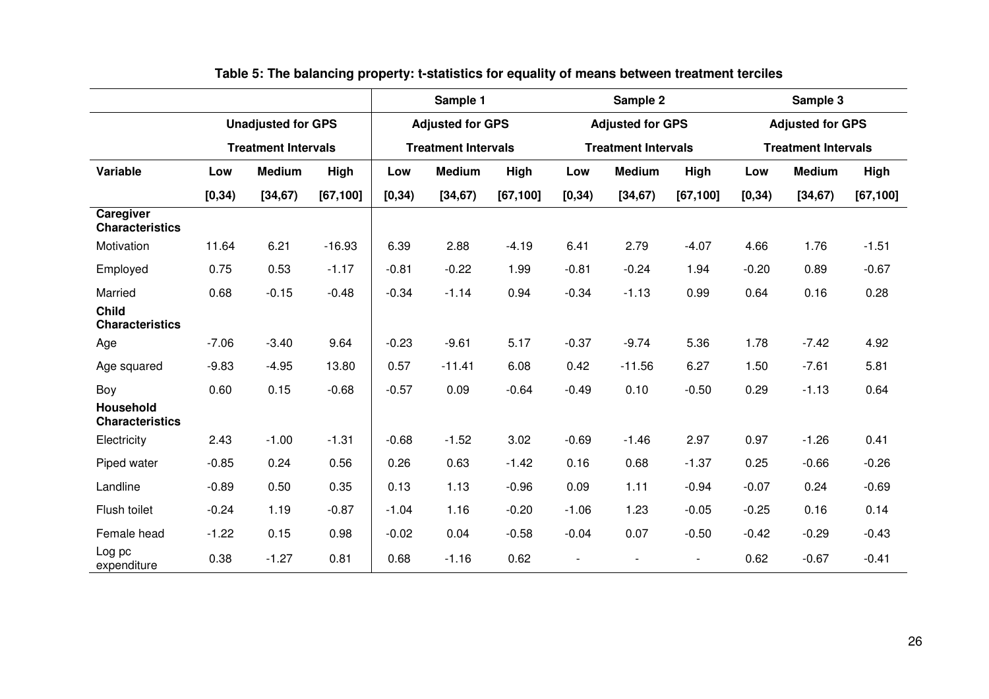|                                            |         |                            |           |         | Sample 1                   |           | Sample 2                 |                            |                | Sample 3 |                            |           |  |
|--------------------------------------------|---------|----------------------------|-----------|---------|----------------------------|-----------|--------------------------|----------------------------|----------------|----------|----------------------------|-----------|--|
|                                            |         | <b>Unadjusted for GPS</b>  |           |         | <b>Adjusted for GPS</b>    |           |                          | <b>Adjusted for GPS</b>    |                |          | <b>Adjusted for GPS</b>    |           |  |
|                                            |         | <b>Treatment Intervals</b> |           |         | <b>Treatment Intervals</b> |           |                          | <b>Treatment Intervals</b> |                |          | <b>Treatment Intervals</b> |           |  |
| Variable                                   | Low     | <b>Medium</b>              | High      | Low     | <b>Medium</b>              | High      | Low                      | <b>Medium</b>              | High           | Low      | <b>Medium</b>              | High      |  |
|                                            | [0, 34) | [34, 67)                   | [67, 100] | [0, 34) | [34, 67)                   | [67, 100] | [0, 34)                  | [34, 67)                   | [67, 100]      | [0, 34)  | [34, 67)                   | [67, 100] |  |
| Caregiver<br><b>Characteristics</b>        |         |                            |           |         |                            |           |                          |                            |                |          |                            |           |  |
| Motivation                                 | 11.64   | 6.21                       | $-16.93$  | 6.39    | 2.88                       | $-4.19$   | 6.41                     | 2.79                       | $-4.07$        | 4.66     | 1.76                       | $-1.51$   |  |
| Employed                                   | 0.75    | 0.53                       | $-1.17$   | $-0.81$ | $-0.22$                    | 1.99      | $-0.81$                  | $-0.24$                    | 1.94           | $-0.20$  | 0.89                       | $-0.67$   |  |
| Married                                    | 0.68    | $-0.15$                    | $-0.48$   | $-0.34$ | $-1.14$                    | 0.94      | $-0.34$                  | $-1.13$                    | 0.99           | 0.64     | 0.16                       | 0.28      |  |
| <b>Child</b><br><b>Characteristics</b>     |         |                            |           |         |                            |           |                          |                            |                |          |                            |           |  |
| Age                                        | $-7.06$ | $-3.40$                    | 9.64      | $-0.23$ | $-9.61$                    | 5.17      | $-0.37$                  | $-9.74$                    | 5.36           | 1.78     | $-7.42$                    | 4.92      |  |
| Age squared                                | $-9.83$ | $-4.95$                    | 13.80     | 0.57    | $-11.41$                   | 6.08      | 0.42                     | $-11.56$                   | 6.27           | 1.50     | $-7.61$                    | 5.81      |  |
| Boy                                        | 0.60    | 0.15                       | $-0.68$   | $-0.57$ | 0.09                       | $-0.64$   | $-0.49$                  | 0.10                       | $-0.50$        | 0.29     | $-1.13$                    | 0.64      |  |
| <b>Household</b><br><b>Characteristics</b> |         |                            |           |         |                            |           |                          |                            |                |          |                            |           |  |
| Electricity                                | 2.43    | $-1.00$                    | $-1.31$   | $-0.68$ | $-1.52$                    | 3.02      | $-0.69$                  | $-1.46$                    | 2.97           | 0.97     | $-1.26$                    | 0.41      |  |
| Piped water                                | $-0.85$ | 0.24                       | 0.56      | 0.26    | 0.63                       | $-1.42$   | 0.16                     | 0.68                       | $-1.37$        | 0.25     | $-0.66$                    | $-0.26$   |  |
| Landline                                   | $-0.89$ | 0.50                       | 0.35      | 0.13    | 1.13                       | $-0.96$   | 0.09                     | 1.11                       | $-0.94$        | $-0.07$  | 0.24                       | $-0.69$   |  |
| Flush toilet                               | $-0.24$ | 1.19                       | $-0.87$   | $-1.04$ | 1.16                       | $-0.20$   | $-1.06$                  | 1.23                       | $-0.05$        | $-0.25$  | 0.16                       | 0.14      |  |
| Female head                                | $-1.22$ | 0.15                       | 0.98      | $-0.02$ | 0.04                       | $-0.58$   | $-0.04$                  | 0.07                       | $-0.50$        | $-0.42$  | $-0.29$                    | $-0.43$   |  |
| Log pc<br>expenditure                      | 0.38    | $-1.27$                    | 0.81      | 0.68    | $-1.16$                    | 0.62      | $\overline{\phantom{a}}$ |                            | $\blacksquare$ | 0.62     | $-0.67$                    | $-0.41$   |  |

**Table 5: The balancing property: t-statistics for equality of means between treatment terciles**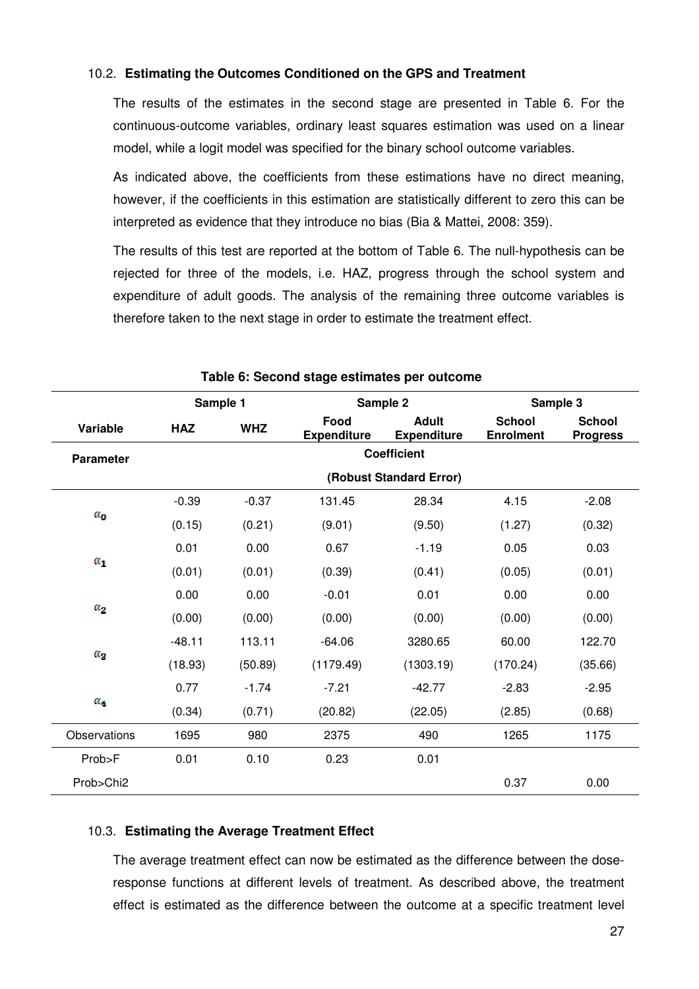## 10.2. **Estimating the Outcomes Conditioned on the GPS and Treatment**

The results of the estimates in the second stage are presented in Table 6. For the continuous-outcome variables, ordinary least squares estimation was used on a linear model, while a logit model was specified for the binary school outcome variables.

As indicated above, the coefficients from these estimations have no direct meaning, however, if the coefficients in this estimation are statistically different to zero this can be interpreted as evidence that they introduce no bias (Bia & Mattei, 2008: 359). continuous-outcome<br>model, while a logit n<br>As indicated above,<br>nowever, if the coeffi<br>nterpreted as eviden<br>The results of this te:<br>rejected for three of<br>expenditure of adult

The results of this test are reported at the bottom of Table 6. The null-hypothesis can be rejected for three of the models, i.e. HAZ, progress through the school system and expenditure of adult goods. The analysis of the remaining three outcome variables is therefore taken to the next stage in order to estimate the treatment effect.

|                  | Sample 1                                                                                     |         |           | Sample 2                          | Sample 3                         |         |  |  |  |  |  |  |
|------------------|----------------------------------------------------------------------------------------------|---------|-----------|-----------------------------------|----------------------------------|---------|--|--|--|--|--|--|
| Variable         | Food<br><b>Adult</b><br><b>WHZ</b><br><b>HAZ</b><br><b>Expenditure</b><br><b>Expenditure</b> |         |           | <b>School</b><br><b>Enrolment</b> | <b>School</b><br><b>Progress</b> |         |  |  |  |  |  |  |
| <b>Parameter</b> |                                                                                              |         |           | <b>Coefficient</b>                |                                  |         |  |  |  |  |  |  |
|                  | (Robust Standard Error)                                                                      |         |           |                                   |                                  |         |  |  |  |  |  |  |
|                  | $-0.39$                                                                                      | $-0.37$ | 131.45    | 28.34                             | 4.15                             | $-2.08$ |  |  |  |  |  |  |
| $\alpha_0$       | (0.15)                                                                                       | (0.21)  | (9.01)    | (9.50)                            | (1.27)                           | (0.32)  |  |  |  |  |  |  |
|                  | 0.01                                                                                         | 0.00    | 0.67      | $-1.19$                           | 0.05                             | 0.03    |  |  |  |  |  |  |
| $\alpha_1$       | (0.01)                                                                                       | (0.01)  | (0.39)    | (0.41)                            | (0.05)                           | (0.01)  |  |  |  |  |  |  |
|                  | 0.00                                                                                         | 0.00    | $-0.01$   | 0.01                              | 0.00                             | 0.00    |  |  |  |  |  |  |
| $a_{2}$          | (0.00)                                                                                       | (0.00)  | (0.00)    | (0.00)                            | (0.00)                           | (0.00)  |  |  |  |  |  |  |
|                  | $-48.11$                                                                                     | 113.11  | $-64.06$  | 3280.65                           | 60.00                            | 122.70  |  |  |  |  |  |  |
| $\alpha_{2}$     | (18.93)                                                                                      | (50.89) | (1179.49) | (1303.19)                         | (170.24)                         | (35.66) |  |  |  |  |  |  |
|                  | 0.77                                                                                         | $-1.74$ | $-7.21$   | $-42.77$                          | $-2.83$                          | $-2.95$ |  |  |  |  |  |  |
| $\alpha_4$       | (0.34)                                                                                       | (0.71)  | (20.82)   | (22.05)                           | (2.85)                           | (0.68)  |  |  |  |  |  |  |
| Observations     | 1695                                                                                         | 980     | 2375      | 490                               | 1265                             | 1175    |  |  |  |  |  |  |
| Prob>F           | 0.01                                                                                         | 0.10    | 0.23      | 0.01                              |                                  |         |  |  |  |  |  |  |
| Prob>Chi2        |                                                                                              |         |           |                                   | 0.37                             | 0.00    |  |  |  |  |  |  |

### **Table 6: Second stage estimates per outcome :**

### 10.3. **Estimating the Average Treatment Effect**

The average treatment effect can now be estimated as the difference between the doseresponse functions at different levels of treatment. As described above, the treatment effect is estimated as the difference between the outcome at a specific treatment level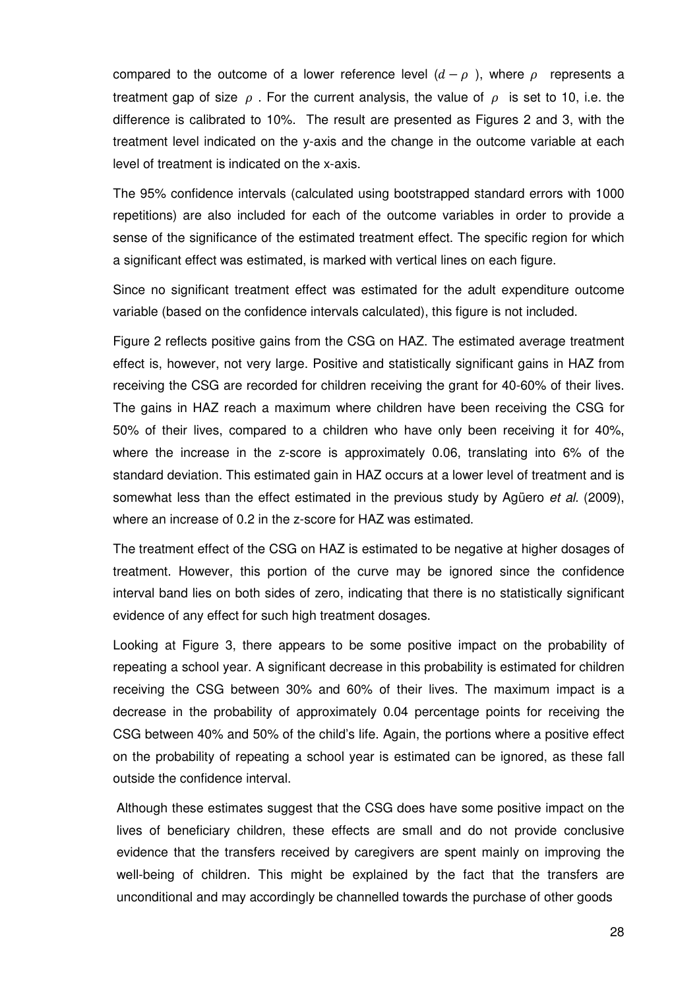compared to the outcome of a lower reference level  $(d - \rho)$ , where  $\rho$  represents a treatment gap of size  $\rho$ . For the current analysis, the value of  $\rho$  is set to 10, i.e. the difference is calibrated to 10%. The result are presented as Figures 2 and 3, with the treatment level indicated on the y-axis and the change in the outcome variable at each level of treatment is indicated on the x-axis.

The 95% confidence intervals (calculated using bootstrapped standard errors with 1000 repetitions) are also included for each of the outcome variables in order to provide a sense of the significance of the estimated treatment effect. The specific region for which a significant effect was estimated, is marked with vertical lines on each figure.

Since no significant treatment effect was estimated for the adult expenditure outcome variable (based on the confidence intervals calculated), this figure is not included.

Figure 2 reflects positive gains from the CSG on HAZ. The estimated average treatment effect is, however, not very large. Positive and statistically significant gains in HAZ from receiving the CSG are recorded for children receiving the grant for 40-60% of their lives. The gains in HAZ reach a maximum where children have been receiving the CSG for 50% of their lives, compared to a children who have only been receiving it for 40%, where the increase in the z-score is approximately 0.06, translating into 6% of the standard deviation. This estimated gain in HAZ occurs at a lower level of treatment and is somewhat less than the effect estimated in the previous study by Agüero et al. (2009), where an increase of 0.2 in the z-score for HAZ was estimated.

The treatment effect of the CSG on HAZ is estimated to be negative at higher dosages of treatment. However, this portion of the curve may be ignored since the confidence interval band lies on both sides of zero, indicating that there is no statistically significant evidence of any effect for such high treatment dosages.

Looking at Figure 3, there appears to be some positive impact on the probability of repeating a school year. A significant decrease in this probability is estimated for children receiving the CSG between 30% and 60% of their lives. The maximum impact is a decrease in the probability of approximately 0.04 percentage points for receiving the CSG between 40% and 50% of the child's life. Again, the portions where a positive effect on the probability of repeating a school year is estimated can be ignored, as these fall outside the confidence interval.

Although these estimates suggest that the CSG does have some positive impact on the lives of beneficiary children, these effects are small and do not provide conclusive evidence that the transfers received by caregivers are spent mainly on improving the well-being of children. This might be explained by the fact that the transfers are unconditional and may accordingly be channelled towards the purchase of other goods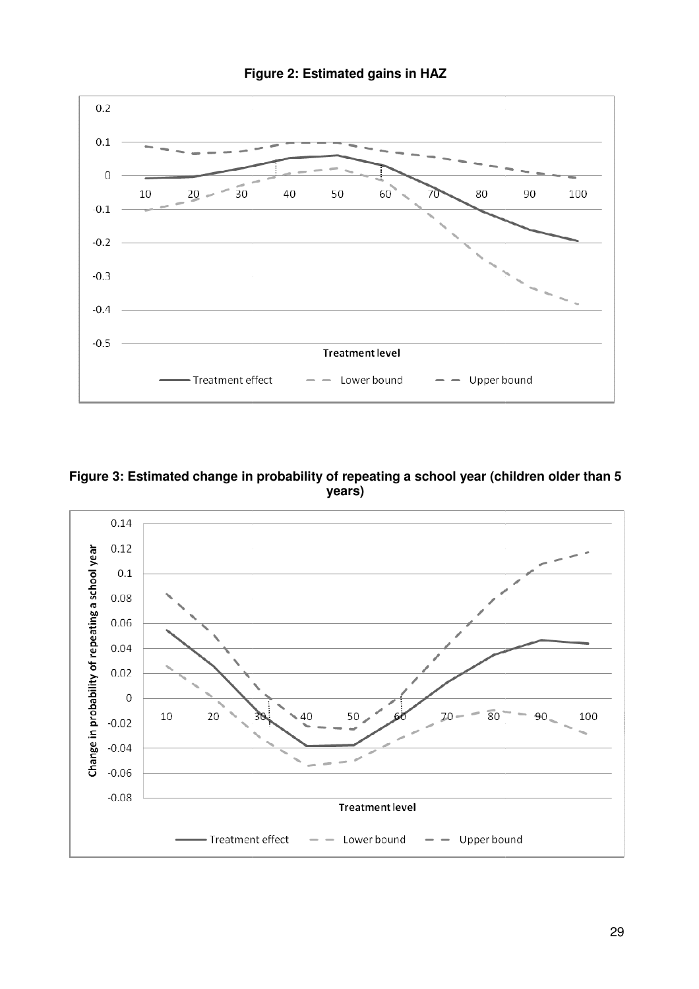

**Figure 2: Estimated gains in HAZ**



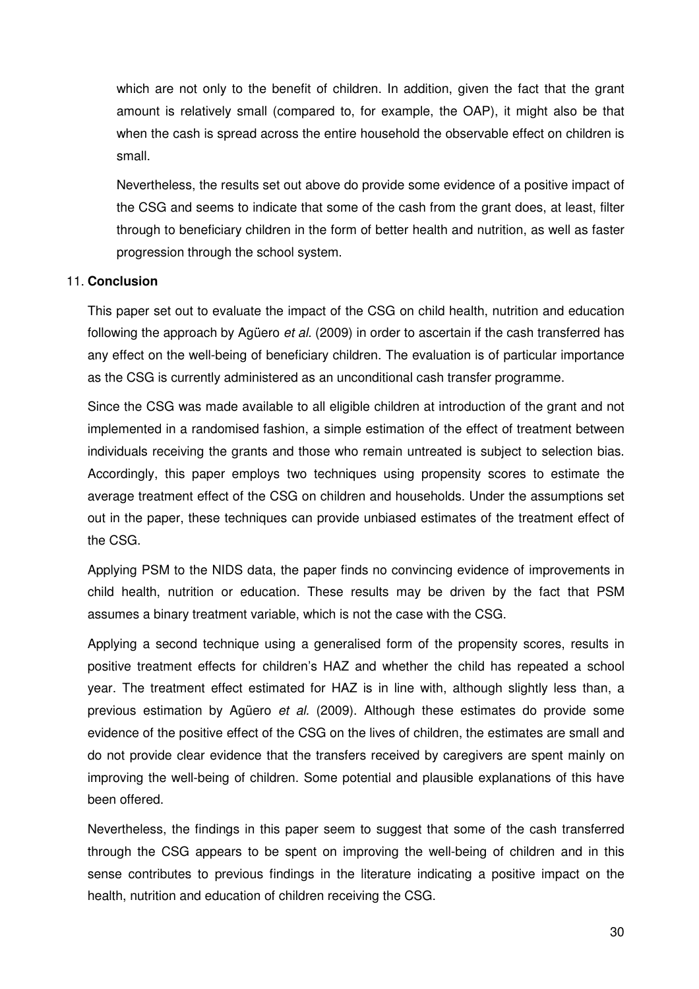which are not only to the benefit of children. In addition, given the fact that the grant amount is relatively small (compared to, for example, the OAP), it might also be that when the cash is spread across the entire household the observable effect on children is small.

Nevertheless, the results set out above do provide some evidence of a positive impact of the CSG and seems to indicate that some of the cash from the grant does, at least, filter through to beneficiary children in the form of better health and nutrition, as well as faster progression through the school system.

### 11. **Conclusion**

This paper set out to evaluate the impact of the CSG on child health, nutrition and education following the approach by Agüero *et al.* (2009) in order to ascertain if the cash transferred has any effect on the well-being of beneficiary children. The evaluation is of particular importance as the CSG is currently administered as an unconditional cash transfer programme.

Since the CSG was made available to all eligible children at introduction of the grant and not implemented in a randomised fashion, a simple estimation of the effect of treatment between individuals receiving the grants and those who remain untreated is subject to selection bias. Accordingly, this paper employs two techniques using propensity scores to estimate the average treatment effect of the CSG on children and households. Under the assumptions set out in the paper, these techniques can provide unbiased estimates of the treatment effect of the CSG.

Applying PSM to the NIDS data, the paper finds no convincing evidence of improvements in child health, nutrition or education. These results may be driven by the fact that PSM assumes a binary treatment variable, which is not the case with the CSG.

Applying a second technique using a generalised form of the propensity scores, results in positive treatment effects for children's HAZ and whether the child has repeated a school year. The treatment effect estimated for HAZ is in line with, although slightly less than, a previous estimation by Agüero et al. (2009). Although these estimates do provide some evidence of the positive effect of the CSG on the lives of children, the estimates are small and do not provide clear evidence that the transfers received by caregivers are spent mainly on improving the well-being of children. Some potential and plausible explanations of this have been offered.

Nevertheless, the findings in this paper seem to suggest that some of the cash transferred through the CSG appears to be spent on improving the well-being of children and in this sense contributes to previous findings in the literature indicating a positive impact on the health, nutrition and education of children receiving the CSG.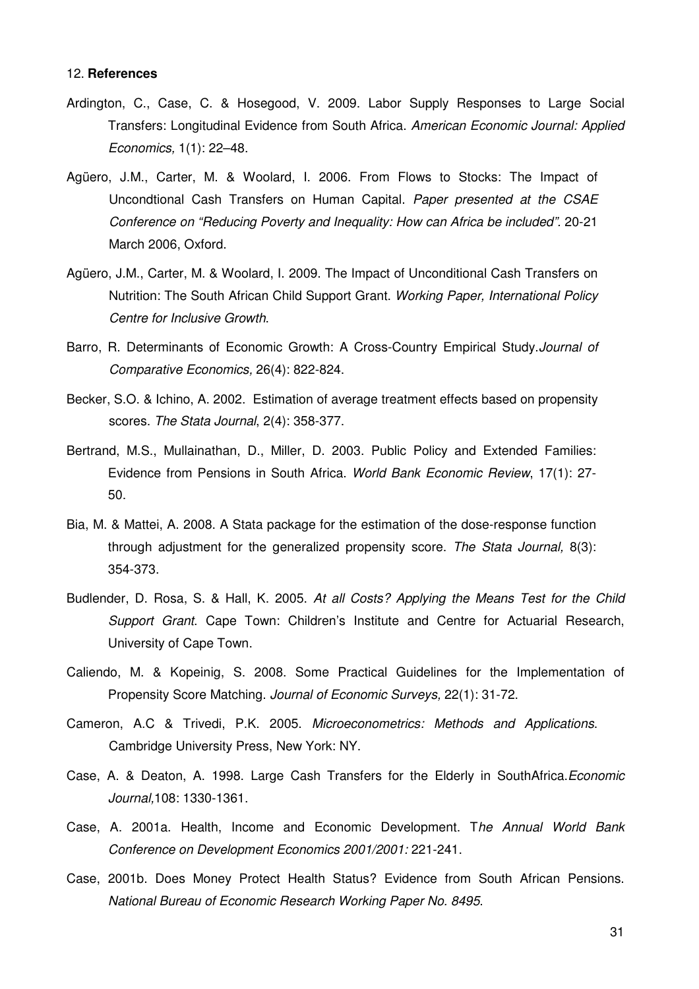#### 12. **References**

- Ardington, C., Case, C. & Hosegood, V. 2009. Labor Supply Responses to Large Social Transfers: Longitudinal Evidence from South Africa. American Economic Journal: Applied Economics, 1(1): 22–48.
- Agüero, J.M., Carter, M. & Woolard, I. 2006. From Flows to Stocks: The Impact of Uncondtional Cash Transfers on Human Capital. Paper presented at the CSAE Conference on "Reducing Poverty and Inequality: How can Africa be included". 20-21 March 2006, Oxford.
- Agüero, J.M., Carter, M. & Woolard, I. 2009. The Impact of Unconditional Cash Transfers on Nutrition: The South African Child Support Grant. Working Paper, International Policy Centre for Inclusive Growth.
- Barro, R. Determinants of Economic Growth: A Cross-Country Empirical Study.Journal of Comparative Economics, 26(4): 822-824.
- Becker, S.O. & Ichino, A. 2002. Estimation of average treatment effects based on propensity scores. The Stata Journal, 2(4): 358-377.
- Bertrand, M.S., Mullainathan, D., Miller, D. 2003. Public Policy and Extended Families: Evidence from Pensions in South Africa. World Bank Economic Review, 17(1): 27- 50.
- Bia, M. & Mattei, A. 2008. A Stata package for the estimation of the dose-response function through adjustment for the generalized propensity score. The Stata Journal, 8(3): 354-373.
- Budlender, D. Rosa, S. & Hall, K. 2005. At all Costs? Applying the Means Test for the Child Support Grant. Cape Town: Children's Institute and Centre for Actuarial Research, University of Cape Town.
- Caliendo, M. & Kopeinig, S. 2008. Some Practical Guidelines for the Implementation of Propensity Score Matching. Journal of Economic Surveys, 22(1): 31-72.
- Cameron, A.C & Trivedi, P.K. 2005. Microeconometrics: Methods and Applications. Cambridge University Press, New York: NY.
- Case, A. & Deaton, A. 1998. Large Cash Transfers for the Elderly in SouthAfrica.Economic Journal,108: 1330-1361.
- Case, A. 2001a. Health, Income and Economic Development. The Annual World Bank Conference on Development Economics 2001/2001: 221-241.
- Case, 2001b. Does Money Protect Health Status? Evidence from South African Pensions. National Bureau of Economic Research Working Paper No. 8495.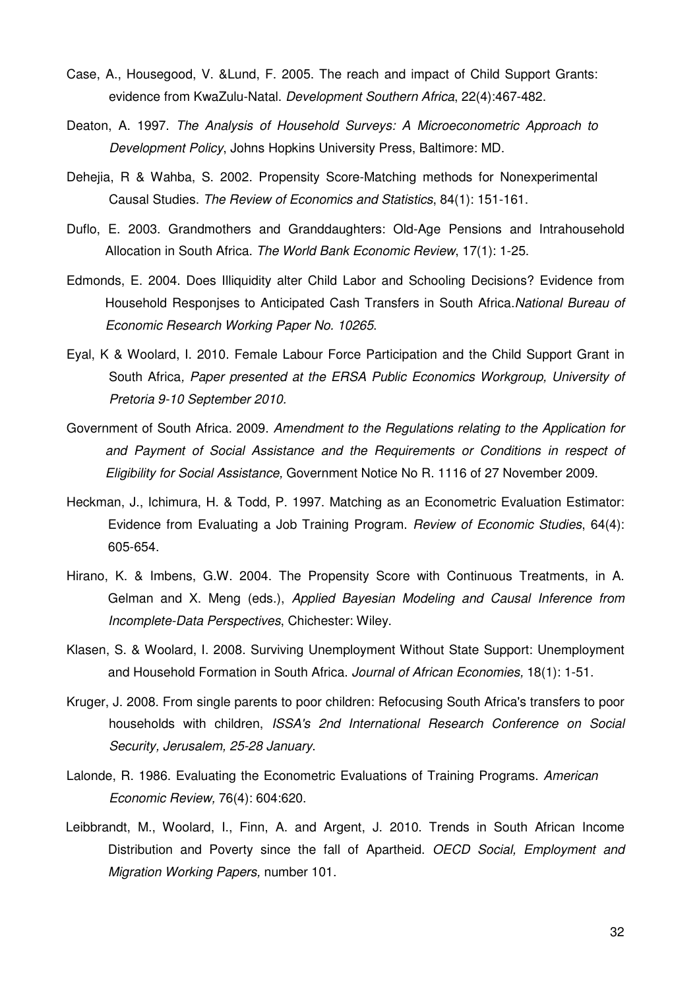- Case, A., Housegood, V. &Lund, F. 2005. The reach and impact of Child Support Grants: evidence from KwaZulu-Natal. Development Southern Africa, 22(4):467-482.
- Deaton, A. 1997. The Analysis of Household Surveys: A Microeconometric Approach to Development Policy, Johns Hopkins University Press, Baltimore: MD.
- Dehejia, R & Wahba, S. 2002. Propensity Score-Matching methods for Nonexperimental Causal Studies. The Review of Economics and Statistics, 84(1): 151-161.
- Duflo, E. 2003. Grandmothers and Granddaughters: Old-Age Pensions and Intrahousehold Allocation in South Africa. The World Bank Economic Review, 17(1): 1-25.
- Edmonds, E. 2004. Does Illiquidity alter Child Labor and Schooling Decisions? Evidence from Household Responises to Anticipated Cash Transfers in South Africa. National Bureau of Economic Research Working Paper No. 10265.
- Eyal, K & Woolard, I. 2010. Female Labour Force Participation and the Child Support Grant in South Africa, Paper presented at the ERSA Public Economics Workgroup, University of Pretoria 9-10 September 2010.
- Government of South Africa. 2009. Amendment to the Regulations relating to the Application for and Payment of Social Assistance and the Requirements or Conditions in respect of Eligibility for Social Assistance, Government Notice No R. 1116 of 27 November 2009.
- Heckman, J., Ichimura, H. & Todd, P. 1997. Matching as an Econometric Evaluation Estimator: Evidence from Evaluating a Job Training Program. Review of Economic Studies, 64(4): 605-654.
- Hirano, K. & Imbens, G.W. 2004. The Propensity Score with Continuous Treatments, in A. Gelman and X. Meng (eds.), Applied Bayesian Modeling and Causal Inference from Incomplete-Data Perspectives, Chichester: Wiley.
- Klasen, S. & Woolard, I. 2008. Surviving Unemployment Without State Support: Unemployment and Household Formation in South Africa. Journal of African Economies, 18(1): 1-51.
- Kruger, J. 2008. From single parents to poor children: Refocusing South Africa's transfers to poor households with children, ISSA's 2nd International Research Conference on Social Security, Jerusalem, 25-28 January.
- Lalonde, R. 1986. Evaluating the Econometric Evaluations of Training Programs. American Economic Review, 76(4): 604:620.
- Leibbrandt, M., Woolard, I., Finn, A. and Argent, J. 2010. Trends in South African Income Distribution and Poverty since the fall of Apartheid. OECD Social, Employment and Migration Working Papers, number 101.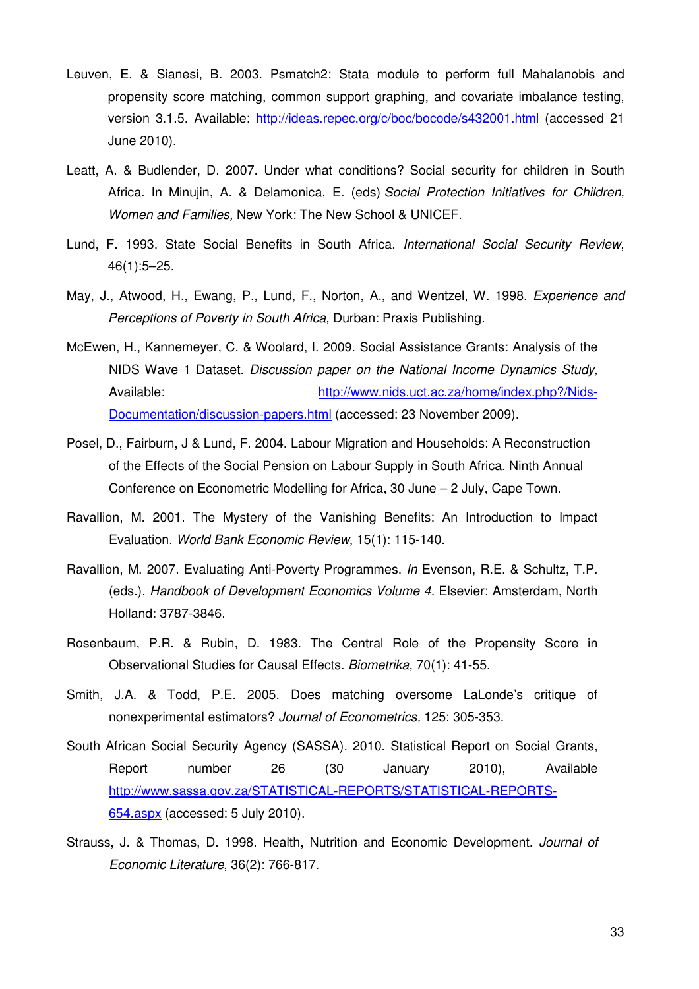- Leuven, E. & Sianesi, B. 2003. Psmatch2: Stata module to perform full Mahalanobis and propensity score matching, common support graphing, and covariate imbalance testing, version 3.1.5. Available: http://ideas.repec.org/c/boc/bocode/s432001.html (accessed 21 June 2010).
- Leatt, A. & Budlender, D. 2007. Under what conditions? Social security for children in South Africa. In Minujin, A. & Delamonica, E. (eds) Social Protection Initiatives for Children, Women and Families, New York: The New School & UNICEF.
- Lund, F. 1993. State Social Benefits in South Africa. International Social Security Review, 46(1):5–25.
- May, J., Atwood, H., Ewang, P., Lund, F., Norton, A., and Wentzel, W. 1998. Experience and Perceptions of Poverty in South Africa, Durban: Praxis Publishing.
- McEwen, H., Kannemeyer, C. & Woolard, I. 2009. Social Assistance Grants: Analysis of the NIDS Wave 1 Dataset. Discussion paper on the National Income Dynamics Study, Available: http://www.nids.uct.ac.za/home/index.php?/Nids-Documentation/discussion-papers.html (accessed: 23 November 2009).
- Posel, D., Fairburn, J & Lund, F. 2004. Labour Migration and Households: A Reconstruction of the Effects of the Social Pension on Labour Supply in South Africa. Ninth Annual Conference on Econometric Modelling for Africa, 30 June – 2 July, Cape Town.
- Ravallion, M. 2001. The Mystery of the Vanishing Benefits: An Introduction to Impact Evaluation. World Bank Economic Review, 15(1): 115-140.
- Ravallion, M. 2007. Evaluating Anti-Poverty Programmes. In Evenson, R.E. & Schultz, T.P. (eds.), Handbook of Development Economics Volume 4. Elsevier: Amsterdam, North Holland: 3787-3846.
- Rosenbaum, P.R. & Rubin, D. 1983. The Central Role of the Propensity Score in Observational Studies for Causal Effects. Biometrika, 70(1): 41-55.
- Smith, J.A. & Todd, P.E. 2005. Does matching oversome LaLonde's critique of nonexperimental estimators? Journal of Econometrics, 125: 305-353.
- South African Social Security Agency (SASSA). 2010. Statistical Report on Social Grants, Report number 26 (30 January 2010), Available http://www.sassa.gov.za/STATISTICAL-REPORTS/STATISTICAL-REPORTS-654.aspx (accessed: 5 July 2010).
- Strauss, J. & Thomas, D. 1998. Health, Nutrition and Economic Development. Journal of Economic Literature, 36(2): 766-817.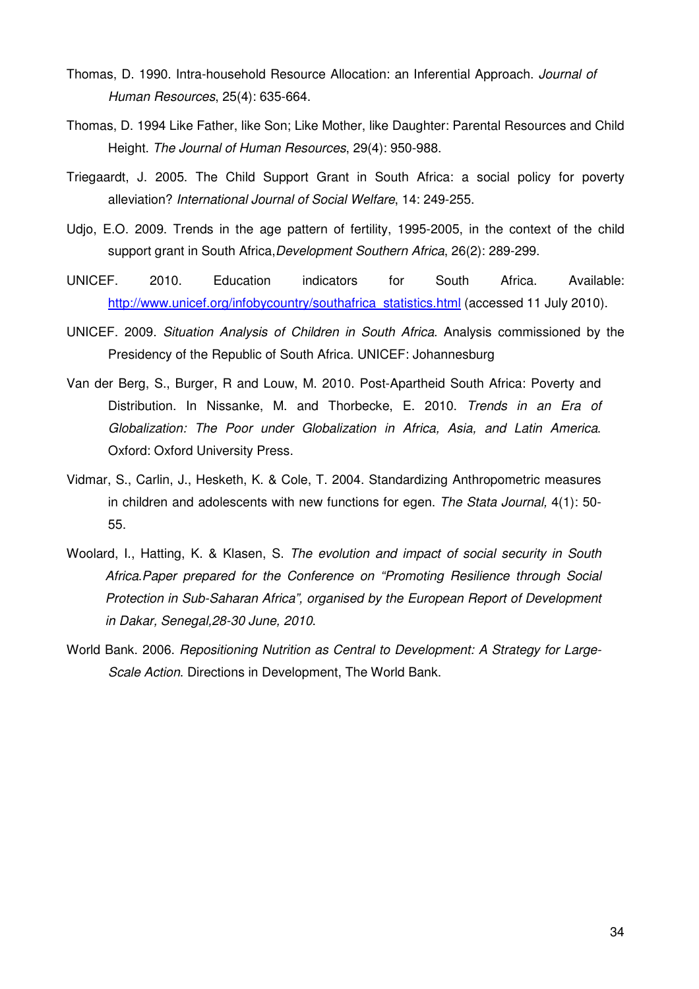- Thomas, D. 1990. Intra-household Resource Allocation: an Inferential Approach. Journal of Human Resources, 25(4): 635-664.
- Thomas, D. 1994 Like Father, like Son; Like Mother, like Daughter: Parental Resources and Child Height. The Journal of Human Resources, 29(4): 950-988.
- Triegaardt, J. 2005. The Child Support Grant in South Africa: a social policy for poverty alleviation? International Journal of Social Welfare, 14: 249-255.
- Udjo, E.O. 2009. Trends in the age pattern of fertility, 1995-2005, in the context of the child support grant in South Africa, Development Southern Africa, 26(2): 289-299.
- UNICEF. 2010. Education indicators for South Africa. Available: http://www.unicef.org/infobycountry/southafrica\_statistics.html (accessed 11 July 2010).
- UNICEF. 2009. Situation Analysis of Children in South Africa. Analysis commissioned by the Presidency of the Republic of South Africa. UNICEF: Johannesburg
- Van der Berg, S., Burger, R and Louw, M. 2010. Post-Apartheid South Africa: Poverty and Distribution. In Nissanke, M. and Thorbecke, E. 2010. Trends in an Era of Globalization: The Poor under Globalization in Africa, Asia, and Latin America. Oxford: Oxford University Press.
- Vidmar, S., Carlin, J., Hesketh, K. & Cole, T. 2004. Standardizing Anthropometric measures in children and adolescents with new functions for egen. The Stata Journal, 4(1): 50- 55.
- Woolard, I., Hatting, K. & Klasen, S. The evolution and impact of social security in South Africa.Paper prepared for the Conference on "Promoting Resilience through Social Protection in Sub-Saharan Africa", organised by the European Report of Development in Dakar, Senegal,28-30 June, 2010.
- World Bank. 2006. Repositioning Nutrition as Central to Development: A Strategy for Large-Scale Action. Directions in Development, The World Bank.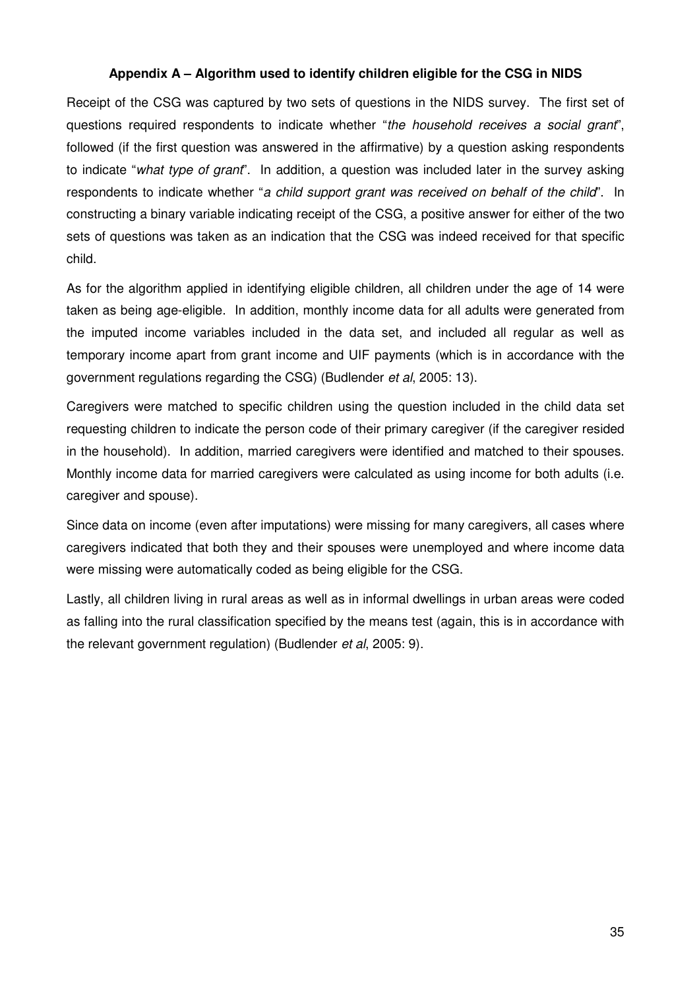## **Appendix A – Algorithm used to identify children eligible for the CSG in NIDS**

Receipt of the CSG was captured by two sets of questions in the NIDS survey. The first set of questions required respondents to indicate whether "the household receives a social grant", followed (if the first question was answered in the affirmative) by a question asking respondents to indicate "what type of grant". In addition, a question was included later in the survey asking respondents to indicate whether "a child support grant was received on behalf of the child". In constructing a binary variable indicating receipt of the CSG, a positive answer for either of the two sets of questions was taken as an indication that the CSG was indeed received for that specific child.

As for the algorithm applied in identifying eligible children, all children under the age of 14 were taken as being age-eligible. In addition, monthly income data for all adults were generated from the imputed income variables included in the data set, and included all regular as well as temporary income apart from grant income and UIF payments (which is in accordance with the government regulations regarding the CSG) (Budlender et al, 2005: 13).

Caregivers were matched to specific children using the question included in the child data set requesting children to indicate the person code of their primary caregiver (if the caregiver resided in the household). In addition, married caregivers were identified and matched to their spouses. Monthly income data for married caregivers were calculated as using income for both adults (i.e. caregiver and spouse).

Since data on income (even after imputations) were missing for many caregivers, all cases where caregivers indicated that both they and their spouses were unemployed and where income data were missing were automatically coded as being eligible for the CSG.

Lastly, all children living in rural areas as well as in informal dwellings in urban areas were coded as falling into the rural classification specified by the means test (again, this is in accordance with the relevant government regulation) (Budlender et al, 2005: 9).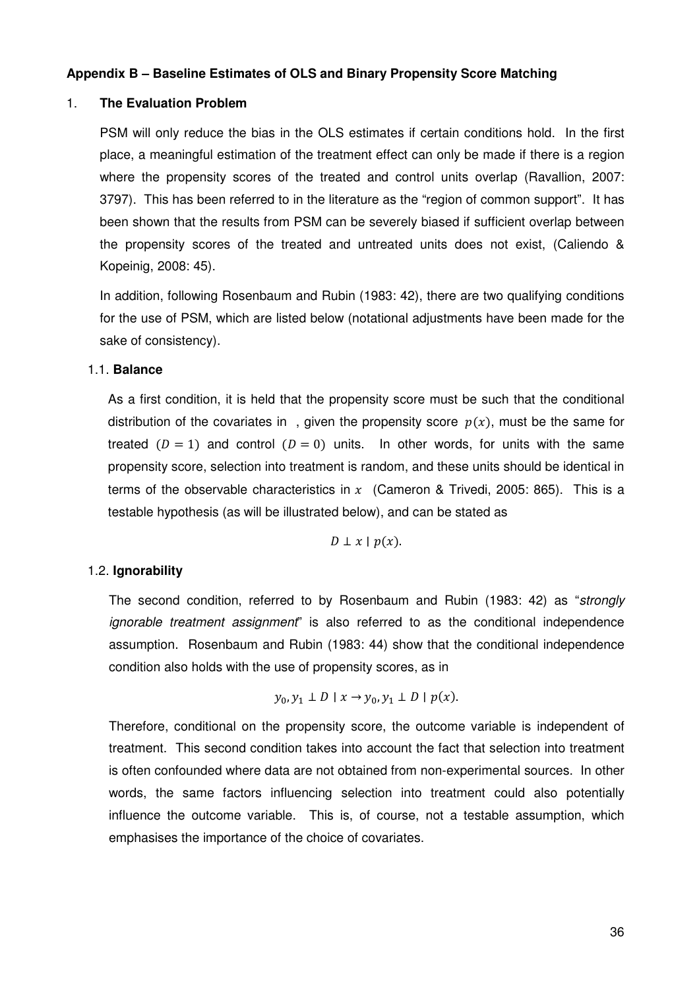### **Appendix B – Baseline Estimates of OLS and Binary Propensity Score Matching**

#### 1. **The Evaluation Problem**

PSM will only reduce the bias in the OLS estimates if certain conditions hold. In the first place, a meaningful estimation of the treatment effect can only be made if there is a region where the propensity scores of the treated and control units overlap (Ravallion, 2007: 3797). This has been referred to in the literature as the "region of common support". It has been shown that the results from PSM can be severely biased if sufficient overlap between the propensity scores of the treated and untreated units does not exist, (Caliendo & Kopeinig, 2008: 45).

In addition, following Rosenbaum and Rubin (1983: 42), there are two qualifying conditions for the use of PSM, which are listed below (notational adjustments have been made for the sake of consistency).

#### 1.1. **Balance**

As a first condition, it is held that the propensity score must be such that the conditional distribution of the covariates in, given the propensity score  $p(x)$ , must be the same for treated  $(D = 1)$  and control  $(D = 0)$  units. In other words, for units with the same propensity score, selection into treatment is random, and these units should be identical in terms of the observable characteristics in x (Cameron & Trivedi, 2005: 865). This is a testable hypothesis (as will be illustrated below), and can be stated as

$$
D\perp x\mid p(x).
$$

### 1.2. **Ignorability**

The second condition, referred to by Rosenbaum and Rubin (1983: 42) as "strongly ignorable treatment assignment" is also referred to as the conditional independence assumption. Rosenbaum and Rubin (1983: 44) show that the conditional independence condition also holds with the use of propensity scores, as in

$$
y_0, y_1 \perp D \mid x \to y_0, y_1 \perp D \mid p(x).
$$

Therefore, conditional on the propensity score, the outcome variable is independent of treatment. This second condition takes into account the fact that selection into treatment is often confounded where data are not obtained from non-experimental sources. In other words, the same factors influencing selection into treatment could also potentially influence the outcome variable. This is, of course, not a testable assumption, which emphasises the importance of the choice of covariates.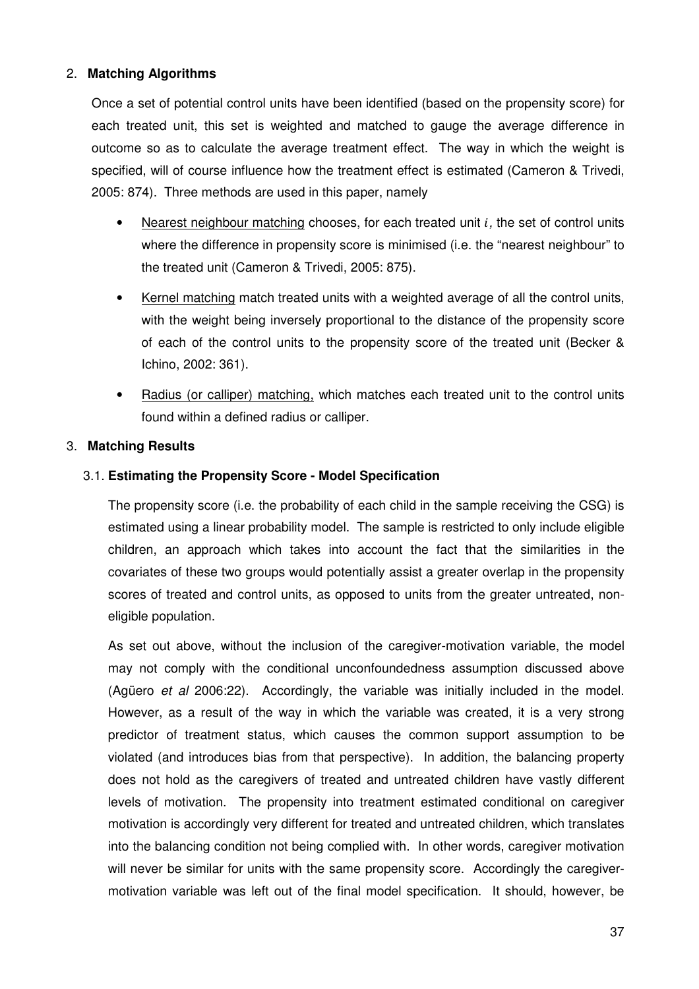## 2. **Matching Algorithms**

Once a set of potential control units have been identified (based on the propensity score) for each treated unit, this set is weighted and matched to gauge the average difference in outcome so as to calculate the average treatment effect. The way in which the weight is specified, will of course influence how the treatment effect is estimated (Cameron & Trivedi, 2005: 874). Three methods are used in this paper, namely

- Nearest neighbour matching chooses, for each treated unit  $i$ , the set of control units where the difference in propensity score is minimised (i.e. the "nearest neighbour" to the treated unit (Cameron & Trivedi, 2005: 875).
- Kernel matching match treated units with a weighted average of all the control units, with the weight being inversely proportional to the distance of the propensity score of each of the control units to the propensity score of the treated unit (Becker & Ichino, 2002: 361).
- Radius (or calliper) matching, which matches each treated unit to the control units found within a defined radius or calliper.

## 3. **Matching Results**

## 3.1. **Estimating the Propensity Score - Model Specification**

The propensity score (i.e. the probability of each child in the sample receiving the CSG) is estimated using a linear probability model. The sample is restricted to only include eligible children, an approach which takes into account the fact that the similarities in the covariates of these two groups would potentially assist a greater overlap in the propensity scores of treated and control units, as opposed to units from the greater untreated, noneligible population.

As set out above, without the inclusion of the caregiver-motivation variable, the model may not comply with the conditional unconfoundedness assumption discussed above (Agüero et al 2006:22). Accordingly, the variable was initially included in the model. However, as a result of the way in which the variable was created, it is a very strong predictor of treatment status, which causes the common support assumption to be violated (and introduces bias from that perspective). In addition, the balancing property does not hold as the caregivers of treated and untreated children have vastly different levels of motivation. The propensity into treatment estimated conditional on caregiver motivation is accordingly very different for treated and untreated children, which translates into the balancing condition not being complied with. In other words, caregiver motivation will never be similar for units with the same propensity score. Accordingly the caregivermotivation variable was left out of the final model specification. It should, however, be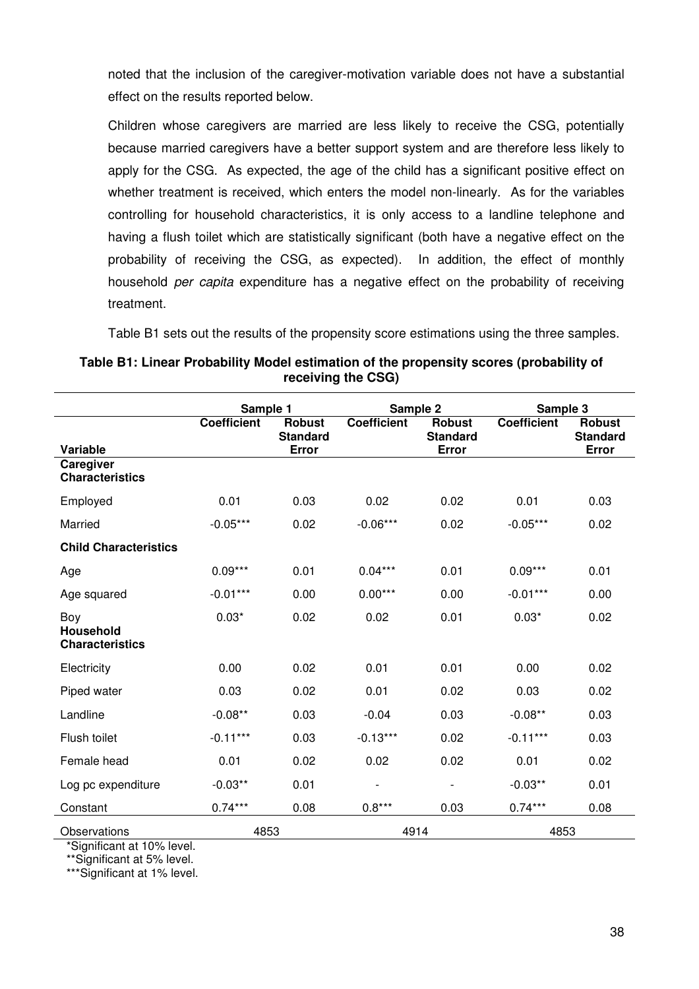noted that the inclusion of the caregiver-motivation variable does not have a substantial effect on the results reported below.

Children whose caregivers are married are less likely to receive the CSG, potentially because married caregivers have a better support system and are therefore less likely to apply for the CSG. As expected, the age of the child has a significant positive effect on whether treatment is received, which enters the model non-linearly. As for the variables controlling for household characteristics, it is only access to a landline telephone and having a flush toilet which are statistically significant (both have a negative effect on the probability of receiving the CSG, as expected). In addition, the effect of monthly household per capita expenditure has a negative effect on the probability of receiving treatment.

Table B1 sets out the results of the propensity score estimations using the three samples.

|                                                   | Sample 1           |                                  | Sample 2                     |                                  | Sample 3           |                                  |
|---------------------------------------------------|--------------------|----------------------------------|------------------------------|----------------------------------|--------------------|----------------------------------|
|                                                   | <b>Coefficient</b> | <b>Robust</b><br><b>Standard</b> | <b>Coefficient</b>           | <b>Robust</b><br><b>Standard</b> | <b>Coefficient</b> | <b>Robust</b><br><b>Standard</b> |
| Variable<br>Caregiver                             |                    | Error                            |                              | Error                            |                    | Error                            |
| <b>Characteristics</b>                            |                    |                                  |                              |                                  |                    |                                  |
| Employed                                          | 0.01               | 0.03                             | 0.02                         | 0.02                             | 0.01               | 0.03                             |
| Married                                           | $-0.05***$         | 0.02                             | $-0.06***$                   | 0.02                             | $-0.05***$         | 0.02                             |
| <b>Child Characteristics</b>                      |                    |                                  |                              |                                  |                    |                                  |
| Age                                               | $0.09***$          | 0.01                             | $0.04***$                    | 0.01                             | $0.09***$          | 0.01                             |
| Age squared                                       | $-0.01***$         | 0.00                             | $0.00***$                    | 0.00                             | $-0.01***$         | 0.00                             |
| Boy<br><b>Household</b><br><b>Characteristics</b> | $0.03*$            | 0.02                             | 0.02                         | 0.01                             | $0.03*$            | 0.02                             |
| Electricity                                       | 0.00               | 0.02                             | 0.01                         | 0.01                             | 0.00               | 0.02                             |
| Piped water                                       | 0.03               | 0.02                             | 0.01                         | 0.02                             | 0.03               | 0.02                             |
| Landline                                          | $-0.08**$          | 0.03                             | $-0.04$                      | 0.03                             | $-0.08**$          | 0.03                             |
| Flush toilet                                      | $-0.11***$         | 0.03                             | $-0.13***$                   | 0.02                             | $-0.11***$         | 0.03                             |
| Female head                                       | 0.01               | 0.02                             | 0.02                         | 0.02                             | 0.01               | 0.02                             |
| Log pc expenditure                                | $-0.03**$          | 0.01                             | $\qquad \qquad \blacksquare$ | $\overline{\phantom{0}}$         | $-0.03**$          | 0.01                             |
| Constant                                          | $0.74***$          | 0.08                             | $0.8***$                     | 0.03                             | $0.74***$          | 0.08                             |
| Observations                                      | 4853               |                                  | 4914                         |                                  | 4853               |                                  |

## **Table B1: Linear Probability Model estimation of the propensity scores (probability of receiving the CSG)**

\*Significant at 10% level.

\*\*Significant at 5% level.

\*\*\*Significant at 1% level.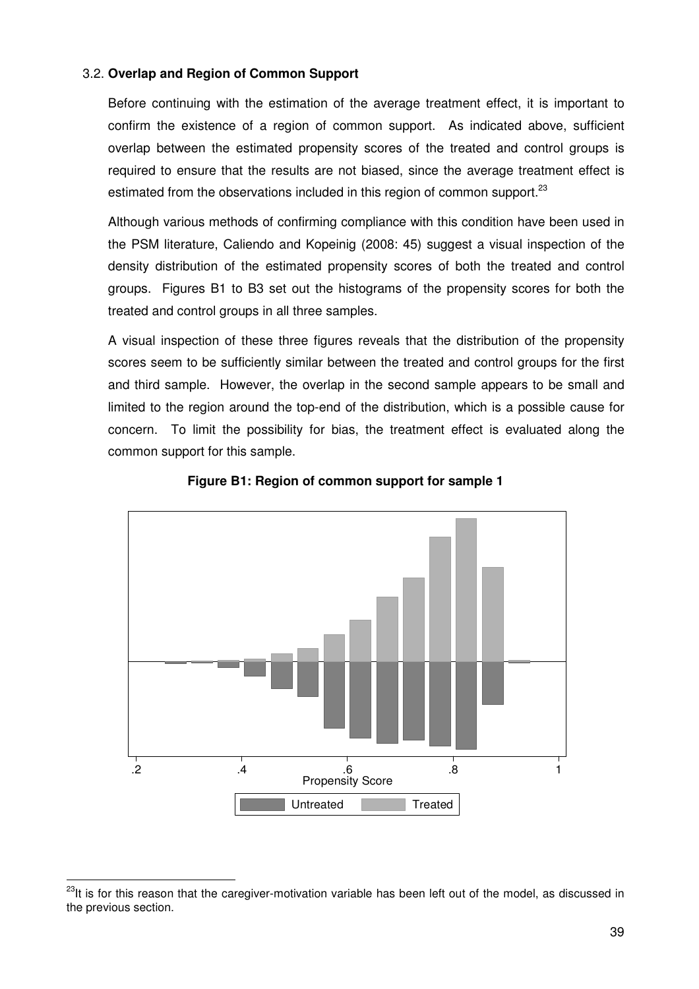## 3.2. **Overlap and Region of Common Support**

Before continuing with the estimation of the average treatment effect, it is important to confirm the existence of a region of common support. As indicated above, sufficient overlap between the estimated propensity scores of the treated and control groups is required to ensure that the results are not biased, since the average treatment effect is estimated from the observations included in this region of common support.<sup>23</sup>

Although various methods of confirming compliance with this condition have been used in the PSM literature, Caliendo and Kopeinig (2008: 45) suggest a visual inspection of the density distribution of the estimated propensity scores of both the treated and control groups. Figures B1 to B3 set out the histograms of the propensity scores for both the treated and control groups in all three samples.

A visual inspection of these three figures reveals that the distribution of the propensity scores seem to be sufficiently similar between the treated and control groups for the first and third sample. However, the overlap in the second sample appears to be small and limited to the region around the top-end of the distribution, which is a possible cause for concern. To limit the possibility for bias, the treatment effect is evaluated along the common support for this sample.



#### **Figure B1: Region of common support for sample 1**

<sup>&</sup>lt;sup>23</sup>It is for this reason that the caregiver-motivation variable has been left out of the model, as discussed in the previous section.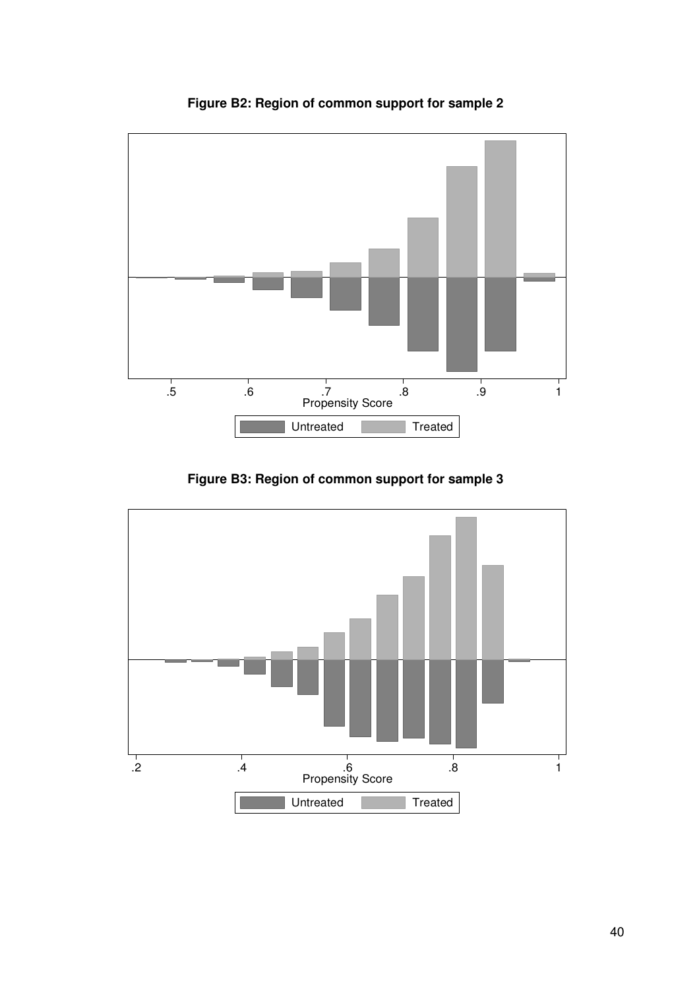

**Figure B2: Region of common support for sample 2** 

**Figure B3: Region of common support for sample 3** 

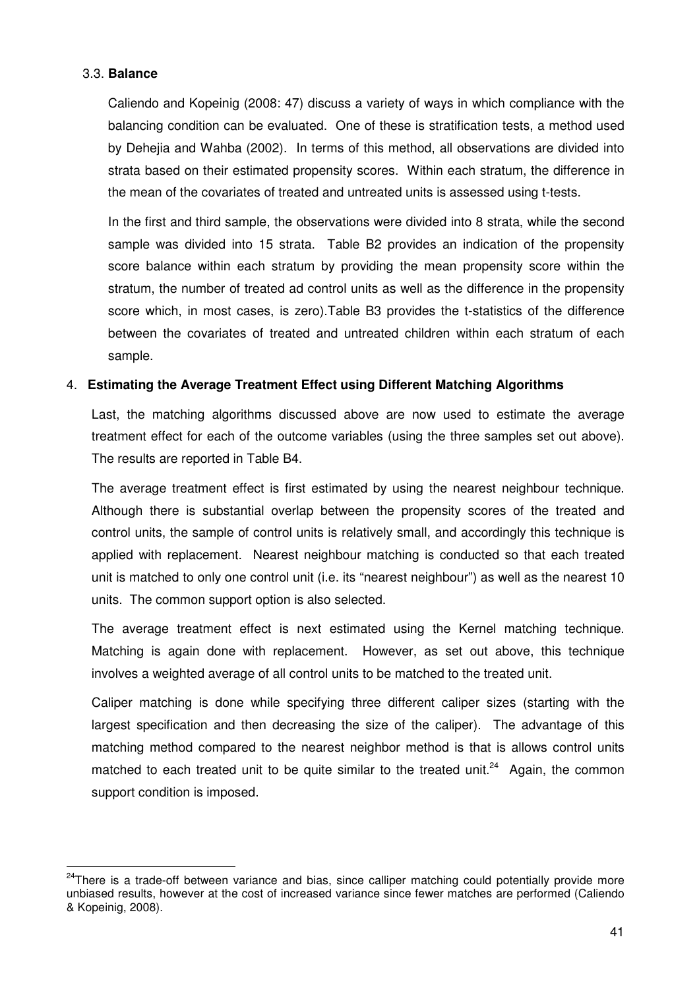## 3.3. **Balance**

 $\overline{a}$ 

Caliendo and Kopeinig (2008: 47) discuss a variety of ways in which compliance with the balancing condition can be evaluated. One of these is stratification tests, a method used by Dehejia and Wahba (2002). In terms of this method, all observations are divided into strata based on their estimated propensity scores. Within each stratum, the difference in the mean of the covariates of treated and untreated units is assessed using t-tests.

In the first and third sample, the observations were divided into 8 strata, while the second sample was divided into 15 strata. Table B2 provides an indication of the propensity score balance within each stratum by providing the mean propensity score within the stratum, the number of treated ad control units as well as the difference in the propensity score which, in most cases, is zero).Table B3 provides the t-statistics of the difference between the covariates of treated and untreated children within each stratum of each sample.

## 4. **Estimating the Average Treatment Effect using Different Matching Algorithms**

Last, the matching algorithms discussed above are now used to estimate the average treatment effect for each of the outcome variables (using the three samples set out above). The results are reported in Table B4.

The average treatment effect is first estimated by using the nearest neighbour technique. Although there is substantial overlap between the propensity scores of the treated and control units, the sample of control units is relatively small, and accordingly this technique is applied with replacement. Nearest neighbour matching is conducted so that each treated unit is matched to only one control unit (i.e. its "nearest neighbour") as well as the nearest 10 units. The common support option is also selected.

The average treatment effect is next estimated using the Kernel matching technique. Matching is again done with replacement. However, as set out above, this technique involves a weighted average of all control units to be matched to the treated unit.

Caliper matching is done while specifying three different caliper sizes (starting with the largest specification and then decreasing the size of the caliper). The advantage of this matching method compared to the nearest neighbor method is that is allows control units matched to each treated unit to be quite similar to the treated unit.<sup>24</sup> Again, the common support condition is imposed.

<sup>&</sup>lt;sup>24</sup>There is a trade-off between variance and bias, since calliper matching could potentially provide more unbiased results, however at the cost of increased variance since fewer matches are performed (Caliendo & Kopeinig, 2008).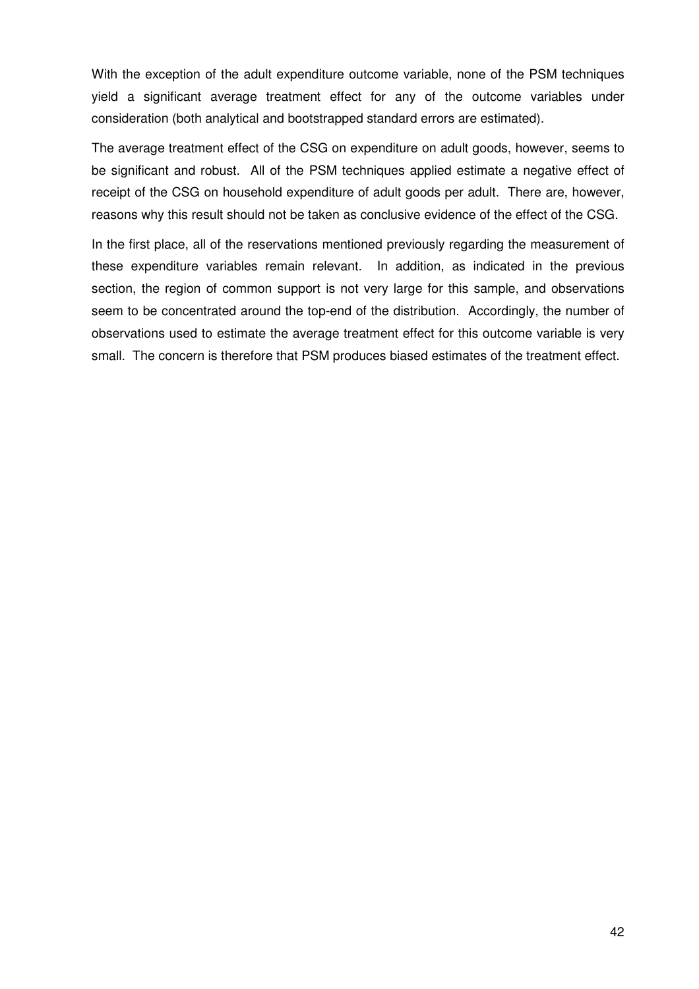With the exception of the adult expenditure outcome variable, none of the PSM techniques yield a significant average treatment effect for any of the outcome variables under consideration (both analytical and bootstrapped standard errors are estimated).

The average treatment effect of the CSG on expenditure on adult goods, however, seems to be significant and robust. All of the PSM techniques applied estimate a negative effect of receipt of the CSG on household expenditure of adult goods per adult. There are, however, reasons why this result should not be taken as conclusive evidence of the effect of the CSG.

In the first place, all of the reservations mentioned previously regarding the measurement of these expenditure variables remain relevant. In addition, as indicated in the previous section, the region of common support is not very large for this sample, and observations seem to be concentrated around the top-end of the distribution. Accordingly, the number of observations used to estimate the average treatment effect for this outcome variable is very small. The concern is therefore that PSM produces biased estimates of the treatment effect.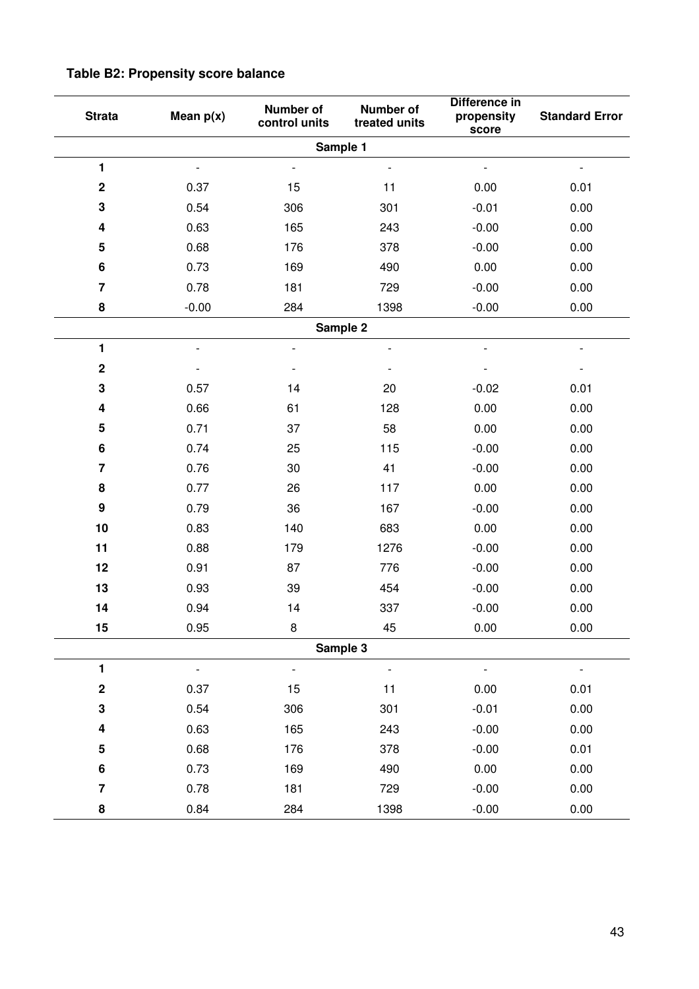| <b>Strata</b>           | Mean $p(x)$              | Number of<br>control units | Number of<br>treated units | Difference in<br>propensity<br>score | <b>Standard Error</b> |
|-------------------------|--------------------------|----------------------------|----------------------------|--------------------------------------|-----------------------|
|                         |                          |                            | Sample 1                   |                                      |                       |
| 1                       | $\overline{a}$           | $\overline{\phantom{a}}$   | $\overline{a}$             |                                      |                       |
| $\mathbf 2$             | 0.37                     | 15                         | 11                         | 0.00                                 | 0.01                  |
| 3                       | 0.54                     | 306                        | 301                        | $-0.01$                              | 0.00                  |
| 4                       | 0.63                     | 165                        | 243                        | $-0.00$                              | 0.00                  |
| 5                       | 0.68                     | 176                        | 378                        | $-0.00$                              | 0.00                  |
| $\bf 6$                 | 0.73                     | 169                        | 490                        | 0.00                                 | 0.00                  |
| $\overline{7}$          | 0.78                     | 181                        | 729                        | $-0.00$                              | 0.00                  |
| 8                       | $-0.00$                  | 284                        | 1398                       | $-0.00$                              | 0.00                  |
|                         |                          |                            | Sample 2                   |                                      |                       |
| 1                       | $\overline{\phantom{0}}$ | $\overline{\phantom{a}}$   | $\overline{\phantom{a}}$   |                                      |                       |
| $\bf 2$                 |                          |                            |                            |                                      |                       |
| 3                       | 0.57                     | 14                         | 20                         | $-0.02$                              | 0.01                  |
| 4                       | 0.66                     | 61                         | 128                        | 0.00                                 | 0.00                  |
| 5                       | 0.71                     | 37                         | 58                         | 0.00                                 | 0.00                  |
| 6                       | 0.74                     | 25                         | 115                        | $-0.00$                              | 0.00                  |
| $\overline{\mathbf{7}}$ | 0.76                     | 30                         | 41                         | $-0.00$                              | 0.00                  |
| 8                       | 0.77                     | 26                         | 117                        | 0.00                                 | 0.00                  |
| $\boldsymbol{9}$        | 0.79                     | 36                         | 167                        | $-0.00$                              | 0.00                  |
| 10                      | 0.83                     | 140                        | 683                        | 0.00                                 | 0.00                  |
| 11                      | 0.88                     | 179                        | 1276                       | $-0.00$                              | 0.00                  |
| 12                      | 0.91                     | 87                         | 776                        | $-0.00$                              | 0.00                  |
| 13                      | 0.93                     | 39                         | 454                        | $-0.00$                              | 0.00                  |
| 14                      | 0.94                     | 14                         | 337                        | $-0.00$                              | 0.00                  |
| 15                      | 0.95                     | $\bf 8$                    | 45                         | 0.00                                 | 0.00                  |
|                         |                          |                            | Sample 3                   |                                      |                       |
| $\blacksquare$          | $\overline{\phantom{0}}$ | $\overline{\phantom{a}}$   | $\qquad \qquad -$          | $\overline{\phantom{a}}$             |                       |
| $\bf 2$                 | 0.37                     | 15                         | 11                         | 0.00                                 | 0.01                  |
| ${\bf 3}$               | 0.54                     | 306                        | 301                        | $-0.01$                              | 0.00                  |
| 4                       | 0.63                     | 165                        | 243                        | $-0.00$                              | 0.00                  |
| ${\bf 5}$               | 0.68                     | 176                        | 378                        | $-0.00$                              | 0.01                  |
| $\bf 6$                 | 0.73                     | 169                        | 490                        | 0.00                                 | 0.00                  |
| $\overline{7}$          | 0.78                     | 181                        | 729                        | $-0.00$                              | 0.00                  |
| 8                       | 0.84                     | 284                        | 1398                       | $-0.00$                              | 0.00                  |

# **Table B2: Propensity score balance**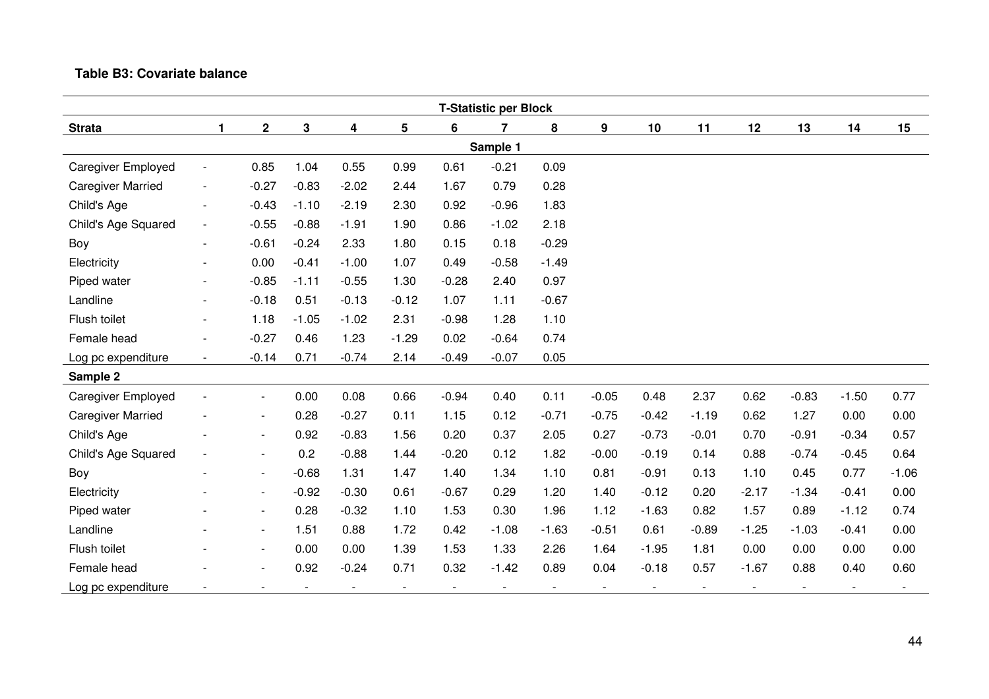## **Table B3: Covariate balance**

|                           | <b>T-Statistic per Block</b> |                          |                          |         |                |         |                          |                          |         |         |                          |         |                          |                          |         |
|---------------------------|------------------------------|--------------------------|--------------------------|---------|----------------|---------|--------------------------|--------------------------|---------|---------|--------------------------|---------|--------------------------|--------------------------|---------|
| <b>Strata</b>             | $\mathbf{1}$                 | $\mathbf 2$              | 3                        | 4       | 5              | 6       | 7                        | 8                        | 9       | 10      | 11                       | 12      | 13                       | 14                       | 15      |
| Sample 1                  |                              |                          |                          |         |                |         |                          |                          |         |         |                          |         |                          |                          |         |
| <b>Caregiver Employed</b> | $\overline{\phantom{a}}$     | 0.85                     | 1.04                     | 0.55    | 0.99           | 0.61    | $-0.21$                  | 0.09                     |         |         |                          |         |                          |                          |         |
| <b>Caregiver Married</b>  | $\overline{\phantom{a}}$     | $-0.27$                  | $-0.83$                  | $-2.02$ | 2.44           | 1.67    | 0.79                     | 0.28                     |         |         |                          |         |                          |                          |         |
| Child's Age               | $\overline{\phantom{a}}$     | $-0.43$                  | $-1.10$                  | $-2.19$ | 2.30           | 0.92    | $-0.96$                  | 1.83                     |         |         |                          |         |                          |                          |         |
| Child's Age Squared       | $\overline{\phantom{a}}$     | $-0.55$                  | $-0.88$                  | $-1.91$ | 1.90           | 0.86    | $-1.02$                  | 2.18                     |         |         |                          |         |                          |                          |         |
| Boy                       | $\overline{\phantom{a}}$     | $-0.61$                  | $-0.24$                  | 2.33    | 1.80           | 0.15    | 0.18                     | $-0.29$                  |         |         |                          |         |                          |                          |         |
| Electricity               | $\overline{\phantom{0}}$     | 0.00                     | $-0.41$                  | $-1.00$ | 1.07           | 0.49    | $-0.58$                  | $-1.49$                  |         |         |                          |         |                          |                          |         |
| Piped water               |                              | $-0.85$                  | $-1.11$                  | $-0.55$ | 1.30           | $-0.28$ | 2.40                     | 0.97                     |         |         |                          |         |                          |                          |         |
| Landline                  | $\overline{\phantom{a}}$     | $-0.18$                  | 0.51                     | $-0.13$ | $-0.12$        | 1.07    | 1.11                     | $-0.67$                  |         |         |                          |         |                          |                          |         |
| Flush toilet              | $\overline{\phantom{a}}$     | 1.18                     | $-1.05$                  | $-1.02$ | 2.31           | $-0.98$ | 1.28                     | 1.10                     |         |         |                          |         |                          |                          |         |
| Female head               | $\overline{\phantom{a}}$     | $-0.27$                  | 0.46                     | 1.23    | $-1.29$        | 0.02    | $-0.64$                  | 0.74                     |         |         |                          |         |                          |                          |         |
| Log pc expenditure        | $\overline{\phantom{a}}$     | $-0.14$                  | 0.71                     | $-0.74$ | 2.14           | $-0.49$ | $-0.07$                  | 0.05                     |         |         |                          |         |                          |                          |         |
| Sample 2                  |                              |                          |                          |         |                |         |                          |                          |         |         |                          |         |                          |                          |         |
| <b>Caregiver Employed</b> |                              | $\overline{\phantom{a}}$ | 0.00                     | 0.08    | 0.66           | $-0.94$ | 0.40                     | 0.11                     | $-0.05$ | 0.48    | 2.37                     | 0.62    | $-0.83$                  | $-1.50$                  | 0.77    |
| <b>Caregiver Married</b>  |                              | $\overline{\phantom{a}}$ | 0.28                     | $-0.27$ | 0.11           | 1.15    | 0.12                     | $-0.71$                  | $-0.75$ | $-0.42$ | $-1.19$                  | 0.62    | 1.27                     | 0.00                     | 0.00    |
| Child's Age               |                              | $\overline{\phantom{a}}$ | 0.92                     | $-0.83$ | 1.56           | 0.20    | 0.37                     | 2.05                     | 0.27    | $-0.73$ | $-0.01$                  | 0.70    | $-0.91$                  | $-0.34$                  | 0.57    |
| Child's Age Squared       | $\overline{\phantom{a}}$     | $\overline{\phantom{a}}$ | 0.2                      | $-0.88$ | 1.44           | $-0.20$ | 0.12                     | 1.82                     | $-0.00$ | $-0.19$ | 0.14                     | 0.88    | $-0.74$                  | $-0.45$                  | 0.64    |
| Boy                       | $\blacksquare$               | $\blacksquare$           | $-0.68$                  | 1.31    | 1.47           | 1.40    | 1.34                     | 1.10                     | 0.81    | $-0.91$ | 0.13                     | 1.10    | 0.45                     | 0.77                     | $-1.06$ |
| Electricity               |                              | $\blacksquare$           | $-0.92$                  | $-0.30$ | 0.61           | $-0.67$ | 0.29                     | 1.20                     | 1.40    | $-0.12$ | 0.20                     | $-2.17$ | $-1.34$                  | $-0.41$                  | 0.00    |
| Piped water               |                              | $\overline{\phantom{a}}$ | 0.28                     | $-0.32$ | 1.10           | 1.53    | 0.30                     | 1.96                     | 1.12    | $-1.63$ | 0.82                     | 1.57    | 0.89                     | $-1.12$                  | 0.74    |
| Landline                  |                              | $\overline{\phantom{a}}$ | 1.51                     | 0.88    | 1.72           | 0.42    | $-1.08$                  | $-1.63$                  | $-0.51$ | 0.61    | $-0.89$                  | $-1.25$ | $-1.03$                  | $-0.41$                  | 0.00    |
| Flush toilet              |                              | $\overline{\phantom{a}}$ | 0.00                     | 0.00    | 1.39           | 1.53    | 1.33                     | 2.26                     | 1.64    | $-1.95$ | 1.81                     | 0.00    | 0.00                     | 0.00                     | 0.00    |
| Female head               |                              | $\blacksquare$           | 0.92                     | $-0.24$ | 0.71           | 0.32    | $-1.42$                  | 0.89                     | 0.04    | $-0.18$ | 0.57                     | $-1.67$ | 0.88                     | 0.40                     | 0.60    |
| Log pc expenditure        |                              |                          | $\overline{\phantom{a}}$ |         | $\blacksquare$ |         | $\overline{\phantom{a}}$ | $\overline{\phantom{a}}$ |         |         | $\overline{\phantom{a}}$ |         | $\overline{\phantom{a}}$ | $\overline{\phantom{a}}$ |         |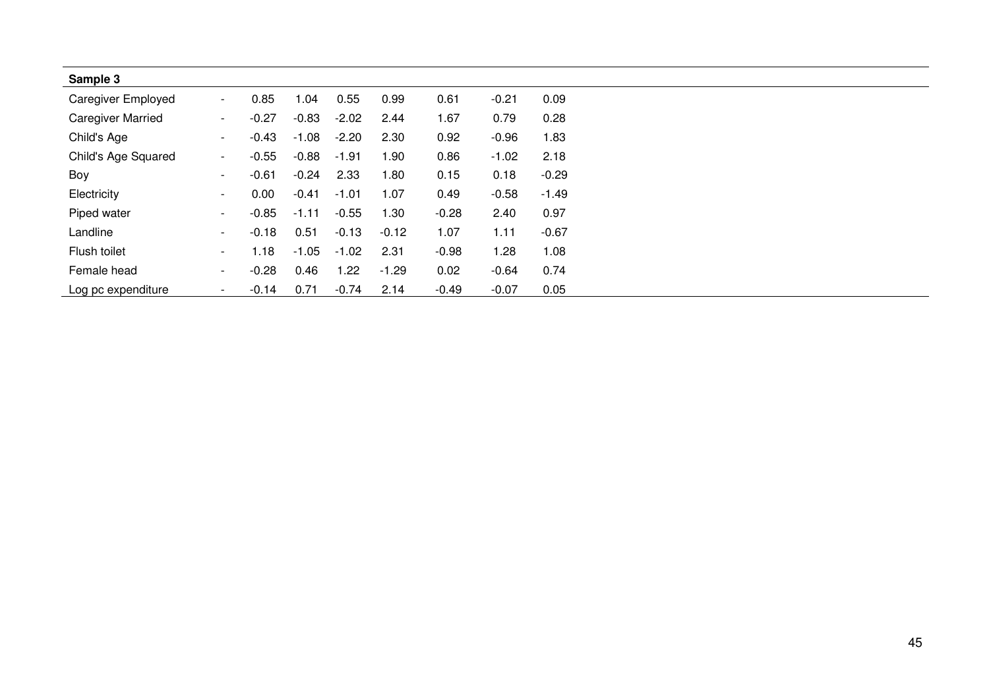| Sample 3                  |                          |         |         |         |         |         |         |         |
|---------------------------|--------------------------|---------|---------|---------|---------|---------|---------|---------|
| <b>Caregiver Employed</b> | $\sim$                   | 0.85    | 1.04    | 0.55    | 0.99    | 0.61    | $-0.21$ | 0.09    |
| <b>Caregiver Married</b>  | $\sim$                   | $-0.27$ | $-0.83$ | $-2.02$ | 2.44    | 1.67    | 0.79    | 0.28    |
| Child's Age               | $\sim$                   | $-0.43$ | $-1.08$ | $-2.20$ | 2.30    | 0.92    | $-0.96$ | 1.83    |
| Child's Age Squared       | $\sim$                   | $-0.55$ | $-0.88$ | $-1.91$ | 1.90    | 0.86    | $-1.02$ | 2.18    |
| Boy                       | $\sim$                   | $-0.61$ | $-0.24$ | 2.33    | 1.80    | 0.15    | 0.18    | $-0.29$ |
| Electricity               | $\sim$                   | 0.00    | $-0.41$ | $-1.01$ | 1.07    | 0.49    | $-0.58$ | $-1.49$ |
| Piped water               | $\sim$                   | $-0.85$ | $-1.11$ | $-0.55$ | 1.30    | $-0.28$ | 2.40    | 0.97    |
| Landline                  | $\overline{\phantom{a}}$ | $-0.18$ | 0.51    | $-0.13$ | $-0.12$ | 1.07    | 1.11    | $-0.67$ |
| Flush toilet              | $\sim$                   | 1.18    | $-1.05$ | $-1.02$ | 2.31    | $-0.98$ | 1.28    | 1.08    |
| Female head               | $\overline{\phantom{a}}$ | $-0.28$ | 0.46    | 1.22    | $-1.29$ | 0.02    | $-0.64$ | 0.74    |
| Log pc expenditure        | $\sim$                   | $-0.14$ | 0.71    | $-0.74$ | 2.14    | $-0.49$ | $-0.07$ | 0.05    |